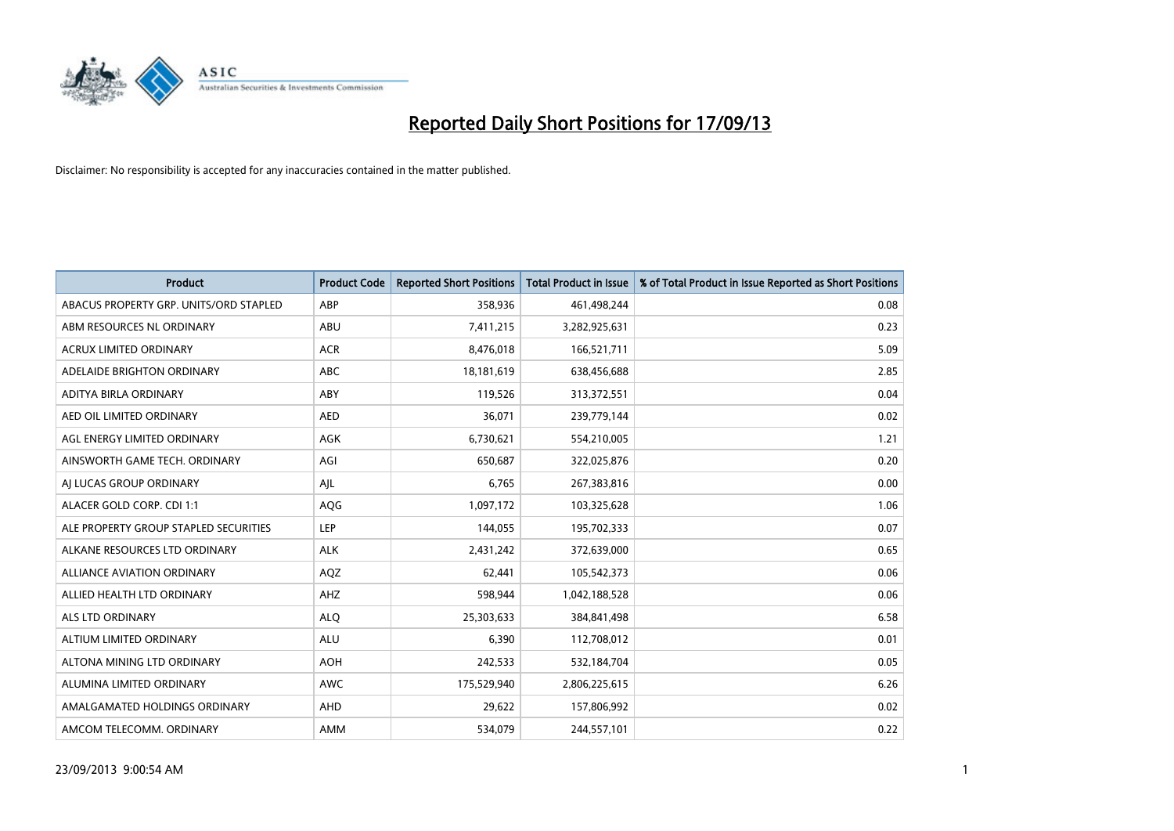

| <b>Product</b>                         | <b>Product Code</b> | <b>Reported Short Positions</b> | Total Product in Issue | % of Total Product in Issue Reported as Short Positions |
|----------------------------------------|---------------------|---------------------------------|------------------------|---------------------------------------------------------|
| ABACUS PROPERTY GRP. UNITS/ORD STAPLED | ABP                 | 358,936                         | 461,498,244            | 0.08                                                    |
| ABM RESOURCES NL ORDINARY              | ABU                 | 7,411,215                       | 3,282,925,631          | 0.23                                                    |
| <b>ACRUX LIMITED ORDINARY</b>          | <b>ACR</b>          | 8,476,018                       | 166,521,711            | 5.09                                                    |
| ADELAIDE BRIGHTON ORDINARY             | <b>ABC</b>          | 18,181,619                      | 638,456,688            | 2.85                                                    |
| ADITYA BIRLA ORDINARY                  | ABY                 | 119,526                         | 313,372,551            | 0.04                                                    |
| AED OIL LIMITED ORDINARY               | <b>AED</b>          | 36,071                          | 239,779,144            | 0.02                                                    |
| AGL ENERGY LIMITED ORDINARY            | AGK                 | 6,730,621                       | 554,210,005            | 1.21                                                    |
| AINSWORTH GAME TECH. ORDINARY          | AGI                 | 650,687                         | 322,025,876            | 0.20                                                    |
| AI LUCAS GROUP ORDINARY                | AJL                 | 6,765                           | 267,383,816            | 0.00                                                    |
| ALACER GOLD CORP. CDI 1:1              | AQG                 | 1,097,172                       | 103,325,628            | 1.06                                                    |
| ALE PROPERTY GROUP STAPLED SECURITIES  | <b>LEP</b>          | 144,055                         | 195,702,333            | 0.07                                                    |
| ALKANE RESOURCES LTD ORDINARY          | <b>ALK</b>          | 2,431,242                       | 372,639,000            | 0.65                                                    |
| <b>ALLIANCE AVIATION ORDINARY</b>      | AQZ                 | 62,441                          | 105,542,373            | 0.06                                                    |
| ALLIED HEALTH LTD ORDINARY             | AHZ                 | 598,944                         | 1,042,188,528          | 0.06                                                    |
| <b>ALS LTD ORDINARY</b>                | <b>ALQ</b>          | 25,303,633                      | 384,841,498            | 6.58                                                    |
| ALTIUM LIMITED ORDINARY                | <b>ALU</b>          | 6,390                           | 112,708,012            | 0.01                                                    |
| ALTONA MINING LTD ORDINARY             | <b>AOH</b>          | 242,533                         | 532,184,704            | 0.05                                                    |
| ALUMINA LIMITED ORDINARY               | <b>AWC</b>          | 175,529,940                     | 2,806,225,615          | 6.26                                                    |
| AMALGAMATED HOLDINGS ORDINARY          | AHD                 | 29,622                          | 157,806,992            | 0.02                                                    |
| AMCOM TELECOMM. ORDINARY               | <b>AMM</b>          | 534,079                         | 244,557,101            | 0.22                                                    |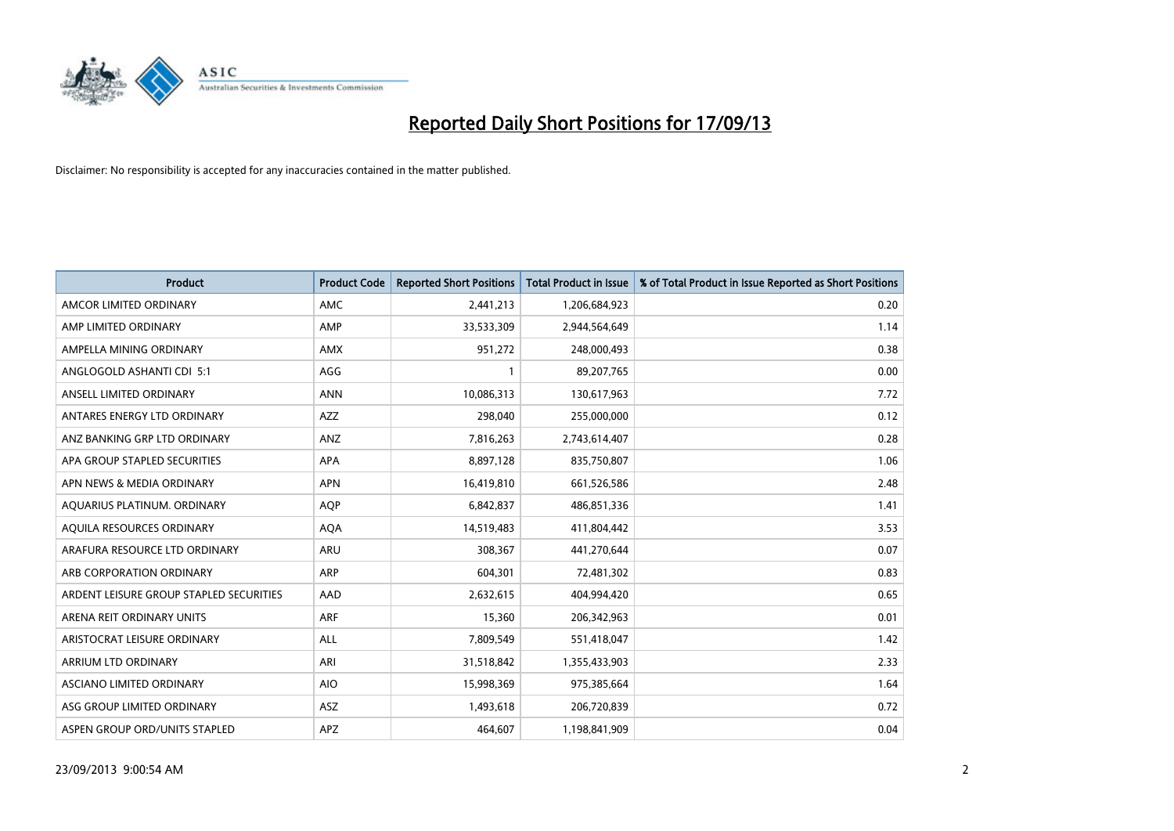

| <b>Product</b>                          | <b>Product Code</b> | <b>Reported Short Positions</b> | <b>Total Product in Issue</b> | % of Total Product in Issue Reported as Short Positions |
|-----------------------------------------|---------------------|---------------------------------|-------------------------------|---------------------------------------------------------|
| AMCOR LIMITED ORDINARY                  | AMC                 | 2,441,213                       | 1,206,684,923                 | 0.20                                                    |
| AMP LIMITED ORDINARY                    | AMP                 | 33,533,309                      | 2,944,564,649                 | 1.14                                                    |
| AMPELLA MINING ORDINARY                 | <b>AMX</b>          | 951,272                         | 248,000,493                   | 0.38                                                    |
| ANGLOGOLD ASHANTI CDI 5:1               | AGG                 | 1                               | 89,207,765                    | 0.00                                                    |
| ANSELL LIMITED ORDINARY                 | <b>ANN</b>          | 10,086,313                      | 130,617,963                   | 7.72                                                    |
| ANTARES ENERGY LTD ORDINARY             | <b>AZZ</b>          | 298,040                         | 255,000,000                   | 0.12                                                    |
| ANZ BANKING GRP LTD ORDINARY            | <b>ANZ</b>          | 7,816,263                       | 2,743,614,407                 | 0.28                                                    |
| APA GROUP STAPLED SECURITIES            | <b>APA</b>          | 8,897,128                       | 835,750,807                   | 1.06                                                    |
| APN NEWS & MEDIA ORDINARY               | <b>APN</b>          | 16,419,810                      | 661,526,586                   | 2.48                                                    |
| AQUARIUS PLATINUM. ORDINARY             | <b>AQP</b>          | 6,842,837                       | 486,851,336                   | 1.41                                                    |
| AQUILA RESOURCES ORDINARY               | <b>AQA</b>          | 14,519,483                      | 411,804,442                   | 3.53                                                    |
| ARAFURA RESOURCE LTD ORDINARY           | <b>ARU</b>          | 308,367                         | 441,270,644                   | 0.07                                                    |
| ARB CORPORATION ORDINARY                | <b>ARP</b>          | 604,301                         | 72,481,302                    | 0.83                                                    |
| ARDENT LEISURE GROUP STAPLED SECURITIES | AAD                 | 2,632,615                       | 404,994,420                   | 0.65                                                    |
| ARENA REIT ORDINARY UNITS               | ARF                 | 15,360                          | 206,342,963                   | 0.01                                                    |
| ARISTOCRAT LEISURE ORDINARY             | ALL                 | 7,809,549                       | 551,418,047                   | 1.42                                                    |
| ARRIUM LTD ORDINARY                     | ARI                 | 31,518,842                      | 1,355,433,903                 | 2.33                                                    |
| ASCIANO LIMITED ORDINARY                | <b>AIO</b>          | 15,998,369                      | 975,385,664                   | 1.64                                                    |
| ASG GROUP LIMITED ORDINARY              | ASZ                 | 1,493,618                       | 206,720,839                   | 0.72                                                    |
| ASPEN GROUP ORD/UNITS STAPLED           | <b>APZ</b>          | 464,607                         | 1,198,841,909                 | 0.04                                                    |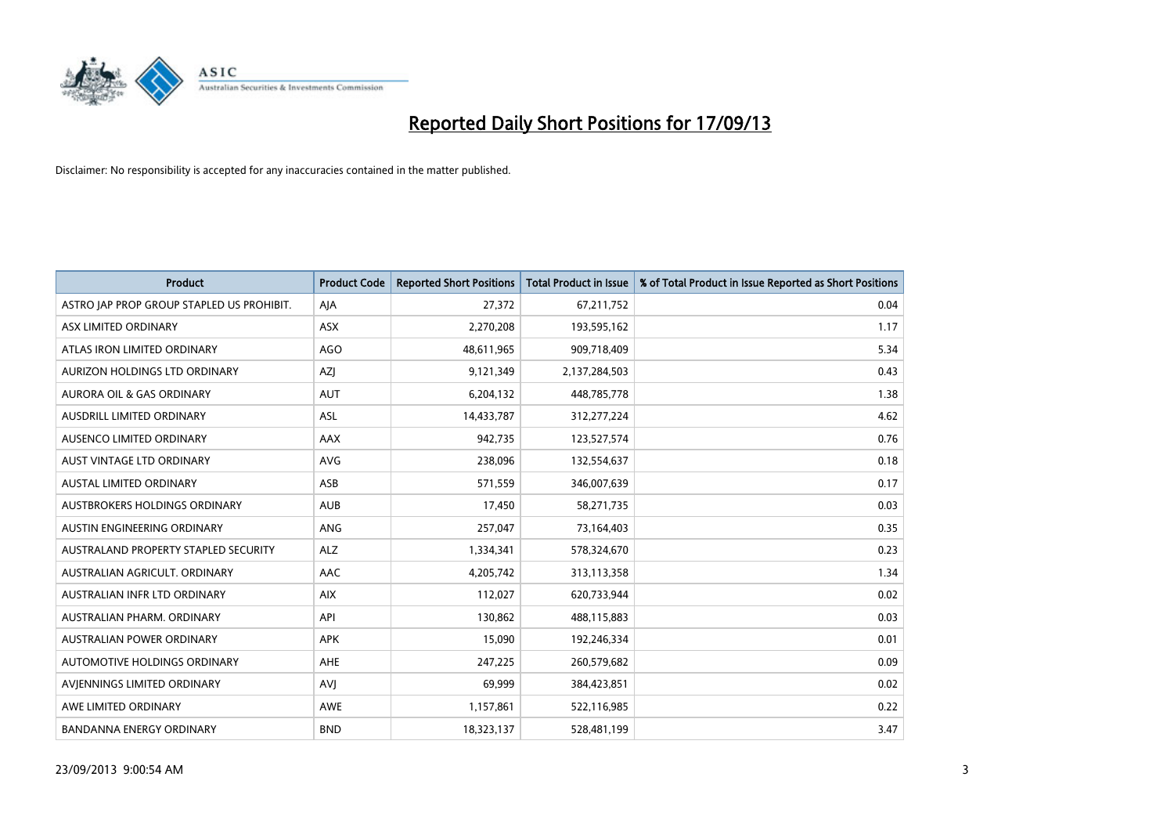

| <b>Product</b>                            | <b>Product Code</b> | <b>Reported Short Positions</b> | <b>Total Product in Issue</b> | % of Total Product in Issue Reported as Short Positions |
|-------------------------------------------|---------------------|---------------------------------|-------------------------------|---------------------------------------------------------|
| ASTRO JAP PROP GROUP STAPLED US PROHIBIT. | AJA                 | 27,372                          | 67,211,752                    | 0.04                                                    |
| ASX LIMITED ORDINARY                      | ASX                 | 2,270,208                       | 193,595,162                   | 1.17                                                    |
| ATLAS IRON LIMITED ORDINARY               | <b>AGO</b>          | 48,611,965                      | 909,718,409                   | 5.34                                                    |
| AURIZON HOLDINGS LTD ORDINARY             | AZJ                 | 9,121,349                       | 2,137,284,503                 | 0.43                                                    |
| <b>AURORA OIL &amp; GAS ORDINARY</b>      | <b>AUT</b>          | 6,204,132                       | 448,785,778                   | 1.38                                                    |
| AUSDRILL LIMITED ORDINARY                 | ASL                 | 14,433,787                      | 312,277,224                   | 4.62                                                    |
| AUSENCO LIMITED ORDINARY                  | AAX                 | 942,735                         | 123,527,574                   | 0.76                                                    |
| AUST VINTAGE LTD ORDINARY                 | AVG                 | 238,096                         | 132,554,637                   | 0.18                                                    |
| AUSTAL LIMITED ORDINARY                   | ASB                 | 571,559                         | 346,007,639                   | 0.17                                                    |
| AUSTBROKERS HOLDINGS ORDINARY             | <b>AUB</b>          | 17,450                          | 58,271,735                    | 0.03                                                    |
| AUSTIN ENGINEERING ORDINARY               | ANG                 | 257,047                         | 73,164,403                    | 0.35                                                    |
| AUSTRALAND PROPERTY STAPLED SECURITY      | <b>ALZ</b>          | 1,334,341                       | 578,324,670                   | 0.23                                                    |
| AUSTRALIAN AGRICULT. ORDINARY             | AAC                 | 4,205,742                       | 313,113,358                   | 1.34                                                    |
| AUSTRALIAN INFR LTD ORDINARY              | <b>AIX</b>          | 112,027                         | 620,733,944                   | 0.02                                                    |
| AUSTRALIAN PHARM. ORDINARY                | API                 | 130,862                         | 488,115,883                   | 0.03                                                    |
| <b>AUSTRALIAN POWER ORDINARY</b>          | <b>APK</b>          | 15,090                          | 192,246,334                   | 0.01                                                    |
| AUTOMOTIVE HOLDINGS ORDINARY              | AHE                 | 247,225                         | 260,579,682                   | 0.09                                                    |
| AVIENNINGS LIMITED ORDINARY               | <b>AVJ</b>          | 69,999                          | 384,423,851                   | 0.02                                                    |
| AWE LIMITED ORDINARY                      | AWE                 | 1,157,861                       | 522,116,985                   | 0.22                                                    |
| <b>BANDANNA ENERGY ORDINARY</b>           | <b>BND</b>          | 18,323,137                      | 528,481,199                   | 3.47                                                    |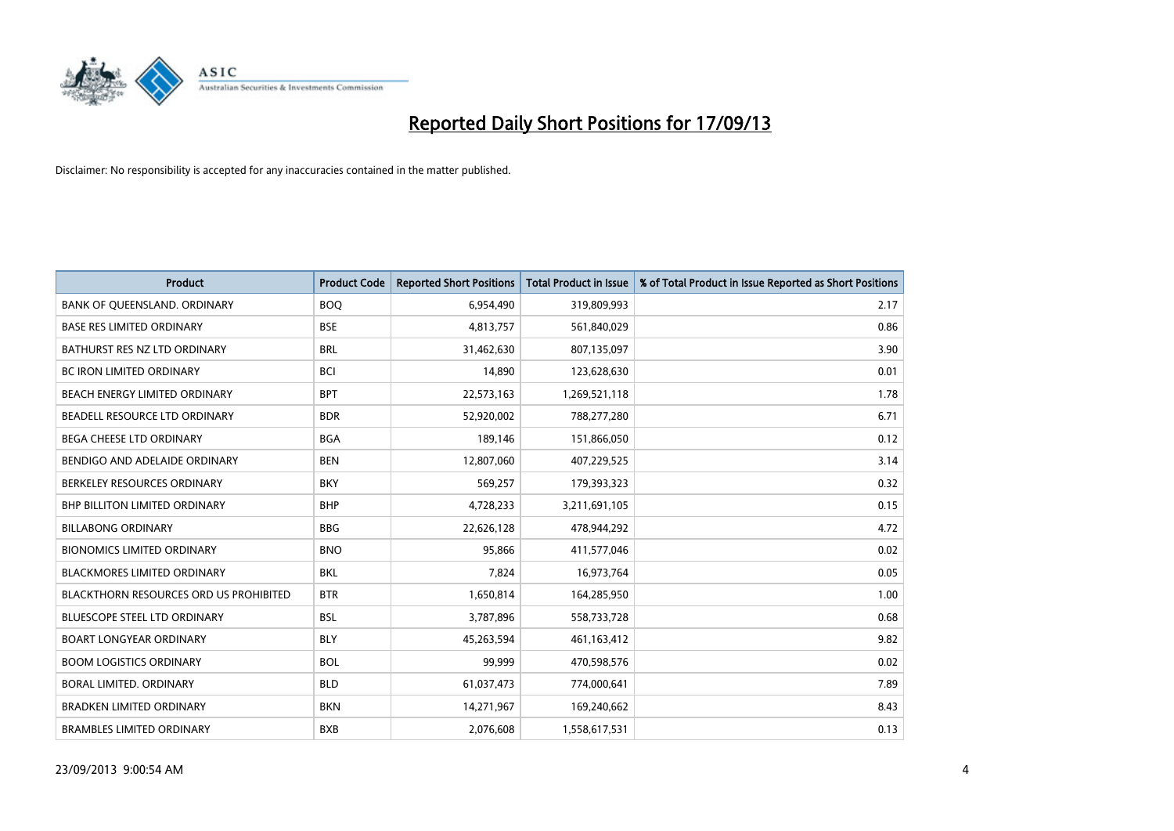

| <b>Product</b>                                | <b>Product Code</b> | <b>Reported Short Positions</b> | <b>Total Product in Issue</b> | % of Total Product in Issue Reported as Short Positions |
|-----------------------------------------------|---------------------|---------------------------------|-------------------------------|---------------------------------------------------------|
| BANK OF QUEENSLAND. ORDINARY                  | <b>BOQ</b>          | 6,954,490                       | 319,809,993                   | 2.17                                                    |
| BASE RES LIMITED ORDINARY                     | <b>BSE</b>          | 4,813,757                       | 561,840,029                   | 0.86                                                    |
| BATHURST RES NZ LTD ORDINARY                  | <b>BRL</b>          | 31,462,630                      | 807,135,097                   | 3.90                                                    |
| <b>BC IRON LIMITED ORDINARY</b>               | <b>BCI</b>          | 14,890                          | 123,628,630                   | 0.01                                                    |
| BEACH ENERGY LIMITED ORDINARY                 | <b>BPT</b>          | 22,573,163                      | 1,269,521,118                 | 1.78                                                    |
| BEADELL RESOURCE LTD ORDINARY                 | <b>BDR</b>          | 52,920,002                      | 788,277,280                   | 6.71                                                    |
| <b>BEGA CHEESE LTD ORDINARY</b>               | <b>BGA</b>          | 189,146                         | 151,866,050                   | 0.12                                                    |
| BENDIGO AND ADELAIDE ORDINARY                 | <b>BEN</b>          | 12,807,060                      | 407,229,525                   | 3.14                                                    |
| BERKELEY RESOURCES ORDINARY                   | <b>BKY</b>          | 569,257                         | 179,393,323                   | 0.32                                                    |
| <b>BHP BILLITON LIMITED ORDINARY</b>          | <b>BHP</b>          | 4,728,233                       | 3,211,691,105                 | 0.15                                                    |
| <b>BILLABONG ORDINARY</b>                     | <b>BBG</b>          | 22,626,128                      | 478,944,292                   | 4.72                                                    |
| <b>BIONOMICS LIMITED ORDINARY</b>             | <b>BNO</b>          | 95,866                          | 411,577,046                   | 0.02                                                    |
| BLACKMORES LIMITED ORDINARY                   | <b>BKL</b>          | 7,824                           | 16,973,764                    | 0.05                                                    |
| <b>BLACKTHORN RESOURCES ORD US PROHIBITED</b> | <b>BTR</b>          | 1,650,814                       | 164,285,950                   | 1.00                                                    |
| <b>BLUESCOPE STEEL LTD ORDINARY</b>           | <b>BSL</b>          | 3,787,896                       | 558,733,728                   | 0.68                                                    |
| <b>BOART LONGYEAR ORDINARY</b>                | <b>BLY</b>          | 45,263,594                      | 461,163,412                   | 9.82                                                    |
| <b>BOOM LOGISTICS ORDINARY</b>                | <b>BOL</b>          | 99,999                          | 470,598,576                   | 0.02                                                    |
| <b>BORAL LIMITED, ORDINARY</b>                | <b>BLD</b>          | 61,037,473                      | 774,000,641                   | 7.89                                                    |
| <b>BRADKEN LIMITED ORDINARY</b>               | <b>BKN</b>          | 14,271,967                      | 169,240,662                   | 8.43                                                    |
| <b>BRAMBLES LIMITED ORDINARY</b>              | <b>BXB</b>          | 2,076,608                       | 1,558,617,531                 | 0.13                                                    |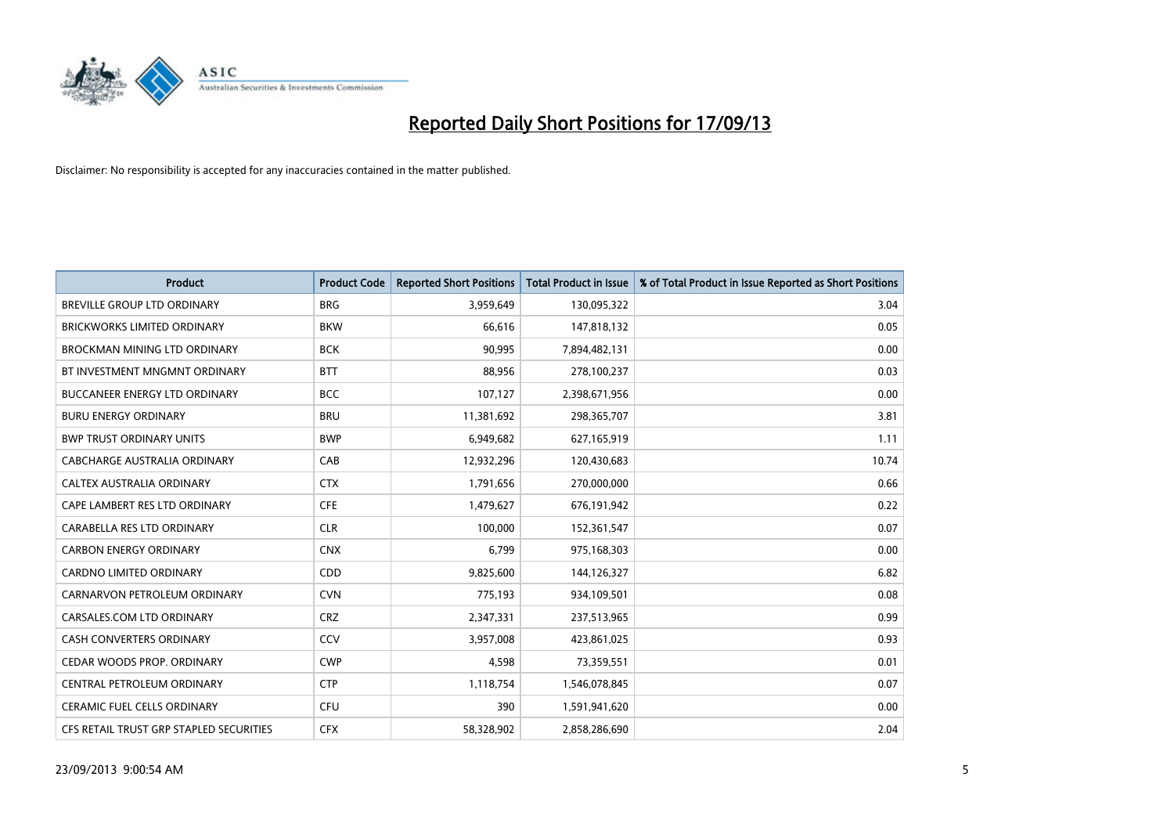

| <b>Product</b>                          | <b>Product Code</b> | <b>Reported Short Positions</b> | <b>Total Product in Issue</b> | % of Total Product in Issue Reported as Short Positions |
|-----------------------------------------|---------------------|---------------------------------|-------------------------------|---------------------------------------------------------|
| <b>BREVILLE GROUP LTD ORDINARY</b>      | <b>BRG</b>          | 3,959,649                       | 130,095,322                   | 3.04                                                    |
| <b>BRICKWORKS LIMITED ORDINARY</b>      | <b>BKW</b>          | 66,616                          | 147,818,132                   | 0.05                                                    |
| BROCKMAN MINING LTD ORDINARY            | <b>BCK</b>          | 90,995                          | 7,894,482,131                 | 0.00                                                    |
| BT INVESTMENT MNGMNT ORDINARY           | <b>BTT</b>          | 88,956                          | 278,100,237                   | 0.03                                                    |
| <b>BUCCANEER ENERGY LTD ORDINARY</b>    | <b>BCC</b>          | 107,127                         | 2,398,671,956                 | 0.00                                                    |
| <b>BURU ENERGY ORDINARY</b>             | <b>BRU</b>          | 11,381,692                      | 298,365,707                   | 3.81                                                    |
| <b>BWP TRUST ORDINARY UNITS</b>         | <b>BWP</b>          | 6,949,682                       | 627,165,919                   | 1.11                                                    |
| <b>CABCHARGE AUSTRALIA ORDINARY</b>     | CAB                 | 12,932,296                      | 120,430,683                   | 10.74                                                   |
| CALTEX AUSTRALIA ORDINARY               | <b>CTX</b>          | 1,791,656                       | 270,000,000                   | 0.66                                                    |
| CAPE LAMBERT RES LTD ORDINARY           | <b>CFE</b>          | 1,479,627                       | 676,191,942                   | 0.22                                                    |
| CARABELLA RES LTD ORDINARY              | <b>CLR</b>          | 100,000                         | 152,361,547                   | 0.07                                                    |
| <b>CARBON ENERGY ORDINARY</b>           | <b>CNX</b>          | 6,799                           | 975,168,303                   | 0.00                                                    |
| <b>CARDNO LIMITED ORDINARY</b>          | CDD                 | 9,825,600                       | 144,126,327                   | 6.82                                                    |
| CARNARVON PETROLEUM ORDINARY            | <b>CVN</b>          | 775,193                         | 934,109,501                   | 0.08                                                    |
| CARSALES.COM LTD ORDINARY               | <b>CRZ</b>          | 2,347,331                       | 237,513,965                   | 0.99                                                    |
| CASH CONVERTERS ORDINARY                | CCV                 | 3,957,008                       | 423,861,025                   | 0.93                                                    |
| CEDAR WOODS PROP. ORDINARY              | <b>CWP</b>          | 4,598                           | 73,359,551                    | 0.01                                                    |
| CENTRAL PETROLEUM ORDINARY              | <b>CTP</b>          | 1,118,754                       | 1,546,078,845                 | 0.07                                                    |
| <b>CERAMIC FUEL CELLS ORDINARY</b>      | <b>CFU</b>          | 390                             | 1,591,941,620                 | 0.00                                                    |
| CFS RETAIL TRUST GRP STAPLED SECURITIES | <b>CFX</b>          | 58,328,902                      | 2,858,286,690                 | 2.04                                                    |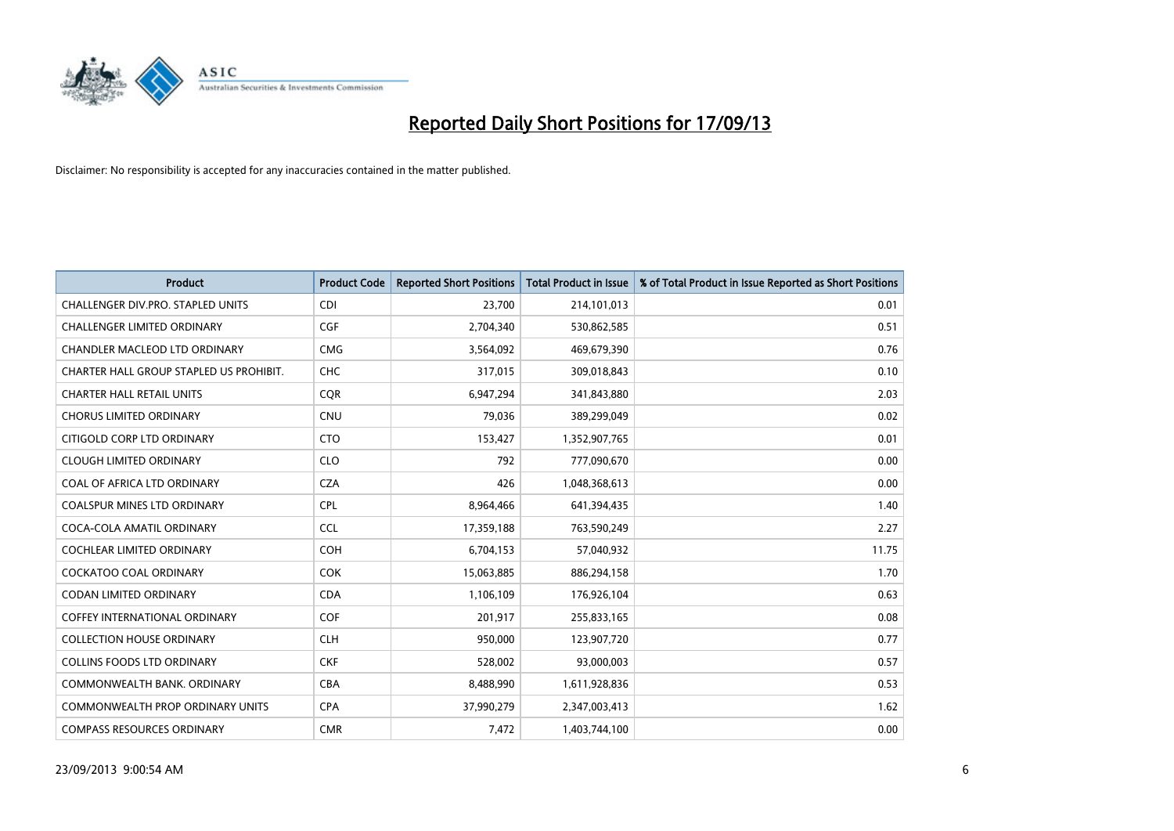

| <b>Product</b>                          | <b>Product Code</b> | <b>Reported Short Positions</b> | <b>Total Product in Issue</b> | % of Total Product in Issue Reported as Short Positions |
|-----------------------------------------|---------------------|---------------------------------|-------------------------------|---------------------------------------------------------|
| CHALLENGER DIV.PRO. STAPLED UNITS       | <b>CDI</b>          | 23,700                          | 214,101,013                   | 0.01                                                    |
| CHALLENGER LIMITED ORDINARY             | <b>CGF</b>          | 2,704,340                       | 530,862,585                   | 0.51                                                    |
| CHANDLER MACLEOD LTD ORDINARY           | <b>CMG</b>          | 3,564,092                       | 469,679,390                   | 0.76                                                    |
| CHARTER HALL GROUP STAPLED US PROHIBIT. | <b>CHC</b>          | 317,015                         | 309,018,843                   | 0.10                                                    |
| <b>CHARTER HALL RETAIL UNITS</b>        | <b>COR</b>          | 6,947,294                       | 341,843,880                   | 2.03                                                    |
| <b>CHORUS LIMITED ORDINARY</b>          | <b>CNU</b>          | 79,036                          | 389,299,049                   | 0.02                                                    |
| CITIGOLD CORP LTD ORDINARY              | <b>CTO</b>          | 153,427                         | 1,352,907,765                 | 0.01                                                    |
| <b>CLOUGH LIMITED ORDINARY</b>          | <b>CLO</b>          | 792                             | 777,090,670                   | 0.00                                                    |
| COAL OF AFRICA LTD ORDINARY             | <b>CZA</b>          | 426                             | 1,048,368,613                 | 0.00                                                    |
| <b>COALSPUR MINES LTD ORDINARY</b>      | <b>CPL</b>          | 8,964,466                       | 641,394,435                   | 1.40                                                    |
| COCA-COLA AMATIL ORDINARY               | <b>CCL</b>          | 17,359,188                      | 763,590,249                   | 2.27                                                    |
| <b>COCHLEAR LIMITED ORDINARY</b>        | <b>COH</b>          | 6,704,153                       | 57,040,932                    | 11.75                                                   |
| <b>COCKATOO COAL ORDINARY</b>           | <b>COK</b>          | 15,063,885                      | 886,294,158                   | 1.70                                                    |
| <b>CODAN LIMITED ORDINARY</b>           | <b>CDA</b>          | 1,106,109                       | 176,926,104                   | 0.63                                                    |
| COFFEY INTERNATIONAL ORDINARY           | <b>COF</b>          | 201,917                         | 255,833,165                   | 0.08                                                    |
| <b>COLLECTION HOUSE ORDINARY</b>        | <b>CLH</b>          | 950,000                         | 123,907,720                   | 0.77                                                    |
| <b>COLLINS FOODS LTD ORDINARY</b>       | <b>CKF</b>          | 528,002                         | 93,000,003                    | 0.57                                                    |
| COMMONWEALTH BANK, ORDINARY             | <b>CBA</b>          | 8,488,990                       | 1,611,928,836                 | 0.53                                                    |
| COMMONWEALTH PROP ORDINARY UNITS        | <b>CPA</b>          | 37,990,279                      | 2,347,003,413                 | 1.62                                                    |
| <b>COMPASS RESOURCES ORDINARY</b>       | <b>CMR</b>          | 7,472                           | 1,403,744,100                 | 0.00                                                    |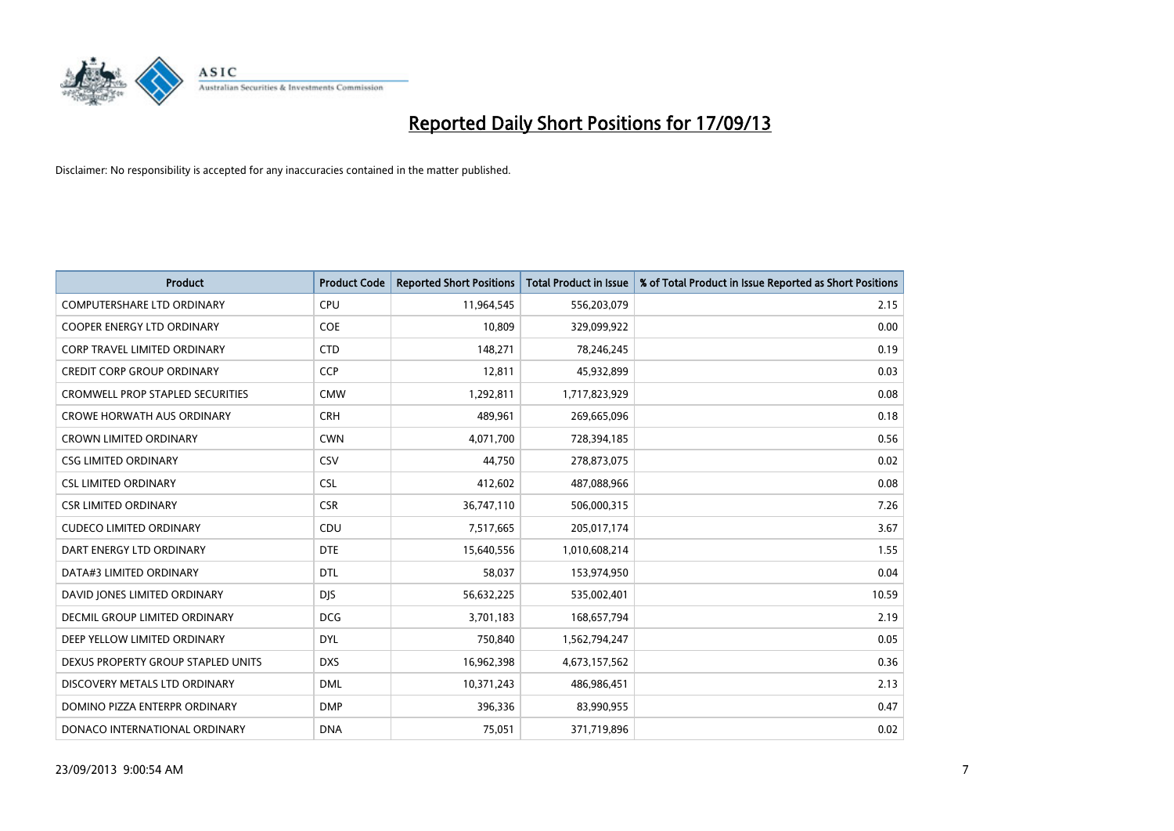

| <b>Product</b>                          | <b>Product Code</b> | <b>Reported Short Positions</b> | <b>Total Product in Issue</b> | % of Total Product in Issue Reported as Short Positions |
|-----------------------------------------|---------------------|---------------------------------|-------------------------------|---------------------------------------------------------|
| <b>COMPUTERSHARE LTD ORDINARY</b>       | <b>CPU</b>          | 11,964,545                      | 556,203,079                   | 2.15                                                    |
| <b>COOPER ENERGY LTD ORDINARY</b>       | <b>COE</b>          | 10,809                          | 329,099,922                   | 0.00                                                    |
| <b>CORP TRAVEL LIMITED ORDINARY</b>     | <b>CTD</b>          | 148,271                         | 78,246,245                    | 0.19                                                    |
| <b>CREDIT CORP GROUP ORDINARY</b>       | CCP                 | 12,811                          | 45,932,899                    | 0.03                                                    |
| <b>CROMWELL PROP STAPLED SECURITIES</b> | <b>CMW</b>          | 1,292,811                       | 1,717,823,929                 | 0.08                                                    |
| <b>CROWE HORWATH AUS ORDINARY</b>       | <b>CRH</b>          | 489,961                         | 269,665,096                   | 0.18                                                    |
| <b>CROWN LIMITED ORDINARY</b>           | <b>CWN</b>          | 4,071,700                       | 728,394,185                   | 0.56                                                    |
| <b>CSG LIMITED ORDINARY</b>             | CSV                 | 44,750                          | 278,873,075                   | 0.02                                                    |
| <b>CSL LIMITED ORDINARY</b>             | <b>CSL</b>          | 412,602                         | 487,088,966                   | 0.08                                                    |
| <b>CSR LIMITED ORDINARY</b>             | <b>CSR</b>          | 36,747,110                      | 506,000,315                   | 7.26                                                    |
| <b>CUDECO LIMITED ORDINARY</b>          | CDU                 | 7,517,665                       | 205,017,174                   | 3.67                                                    |
| DART ENERGY LTD ORDINARY                | <b>DTE</b>          | 15,640,556                      | 1,010,608,214                 | 1.55                                                    |
| DATA#3 LIMITED ORDINARY                 | <b>DTL</b>          | 58,037                          | 153,974,950                   | 0.04                                                    |
| DAVID JONES LIMITED ORDINARY            | <b>DJS</b>          | 56,632,225                      | 535,002,401                   | 10.59                                                   |
| <b>DECMIL GROUP LIMITED ORDINARY</b>    | <b>DCG</b>          | 3,701,183                       | 168,657,794                   | 2.19                                                    |
| DEEP YELLOW LIMITED ORDINARY            | <b>DYL</b>          | 750,840                         | 1,562,794,247                 | 0.05                                                    |
| DEXUS PROPERTY GROUP STAPLED UNITS      | <b>DXS</b>          | 16,962,398                      | 4,673,157,562                 | 0.36                                                    |
| DISCOVERY METALS LTD ORDINARY           | <b>DML</b>          | 10,371,243                      | 486,986,451                   | 2.13                                                    |
| DOMINO PIZZA ENTERPR ORDINARY           | <b>DMP</b>          | 396,336                         | 83,990,955                    | 0.47                                                    |
| DONACO INTERNATIONAL ORDINARY           | <b>DNA</b>          | 75,051                          | 371,719,896                   | 0.02                                                    |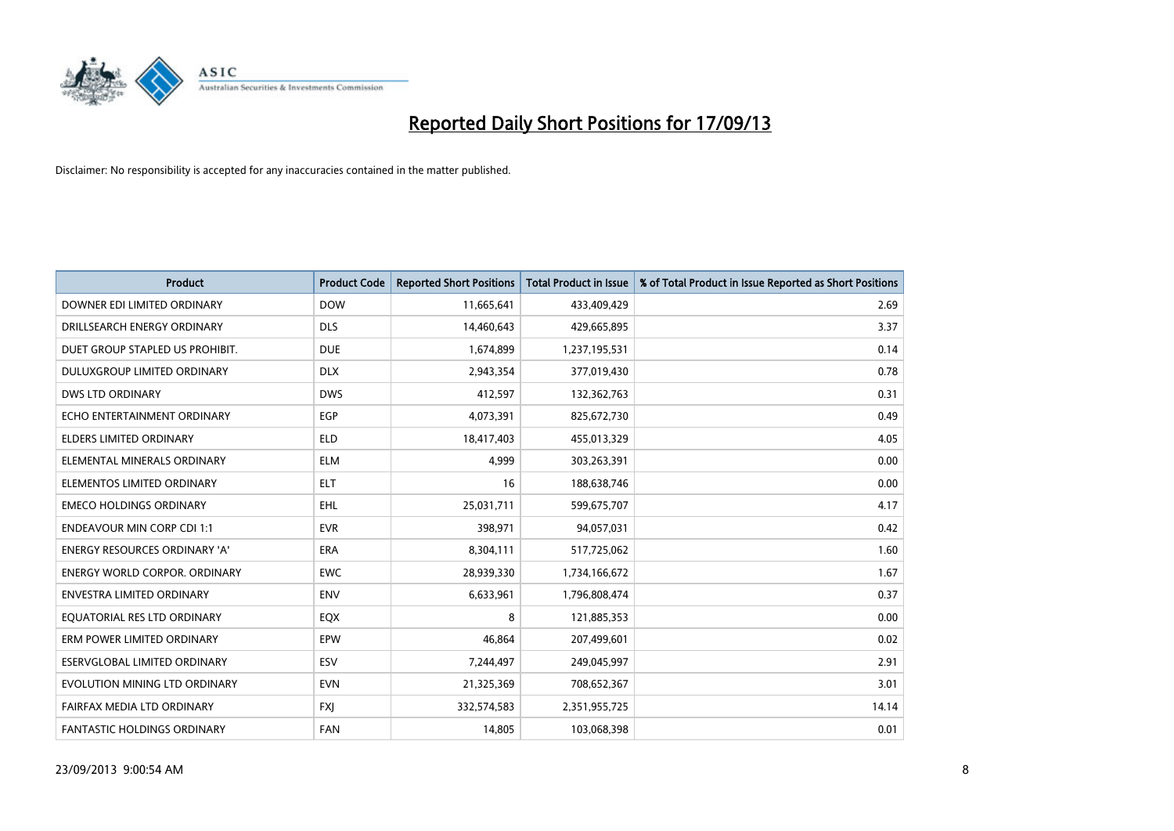

| <b>Product</b>                       | <b>Product Code</b> | <b>Reported Short Positions</b> | <b>Total Product in Issue</b> | % of Total Product in Issue Reported as Short Positions |
|--------------------------------------|---------------------|---------------------------------|-------------------------------|---------------------------------------------------------|
| DOWNER EDI LIMITED ORDINARY          | <b>DOW</b>          | 11,665,641                      | 433,409,429                   | 2.69                                                    |
| DRILLSEARCH ENERGY ORDINARY          | <b>DLS</b>          | 14,460,643                      | 429,665,895                   | 3.37                                                    |
| DUET GROUP STAPLED US PROHIBIT.      | <b>DUE</b>          | 1,674,899                       | 1,237,195,531                 | 0.14                                                    |
| DULUXGROUP LIMITED ORDINARY          | <b>DLX</b>          | 2,943,354                       | 377,019,430                   | 0.78                                                    |
| <b>DWS LTD ORDINARY</b>              | <b>DWS</b>          | 412,597                         | 132,362,763                   | 0.31                                                    |
| ECHO ENTERTAINMENT ORDINARY          | EGP                 | 4,073,391                       | 825,672,730                   | 0.49                                                    |
| <b>ELDERS LIMITED ORDINARY</b>       | <b>ELD</b>          | 18,417,403                      | 455,013,329                   | 4.05                                                    |
| ELEMENTAL MINERALS ORDINARY          | <b>ELM</b>          | 4,999                           | 303,263,391                   | 0.00                                                    |
| ELEMENTOS LIMITED ORDINARY           | <b>ELT</b>          | 16                              | 188,638,746                   | 0.00                                                    |
| <b>EMECO HOLDINGS ORDINARY</b>       | <b>EHL</b>          | 25,031,711                      | 599,675,707                   | 4.17                                                    |
| <b>ENDEAVOUR MIN CORP CDI 1:1</b>    | <b>EVR</b>          | 398,971                         | 94,057,031                    | 0.42                                                    |
| <b>ENERGY RESOURCES ORDINARY 'A'</b> | ERA                 | 8,304,111                       | 517,725,062                   | 1.60                                                    |
| <b>ENERGY WORLD CORPOR, ORDINARY</b> | <b>EWC</b>          | 28,939,330                      | 1,734,166,672                 | 1.67                                                    |
| <b>ENVESTRA LIMITED ORDINARY</b>     | <b>ENV</b>          | 6,633,961                       | 1,796,808,474                 | 0.37                                                    |
| EQUATORIAL RES LTD ORDINARY          | EQX                 | 8                               | 121,885,353                   | 0.00                                                    |
| ERM POWER LIMITED ORDINARY           | EPW                 | 46.864                          | 207,499,601                   | 0.02                                                    |
| ESERVGLOBAL LIMITED ORDINARY         | ESV                 | 7,244,497                       | 249,045,997                   | 2.91                                                    |
| EVOLUTION MINING LTD ORDINARY        | <b>EVN</b>          | 21,325,369                      | 708,652,367                   | 3.01                                                    |
| FAIRFAX MEDIA LTD ORDINARY           | <b>FXI</b>          | 332,574,583                     | 2,351,955,725                 | 14.14                                                   |
| FANTASTIC HOLDINGS ORDINARY          | <b>FAN</b>          | 14,805                          | 103,068,398                   | 0.01                                                    |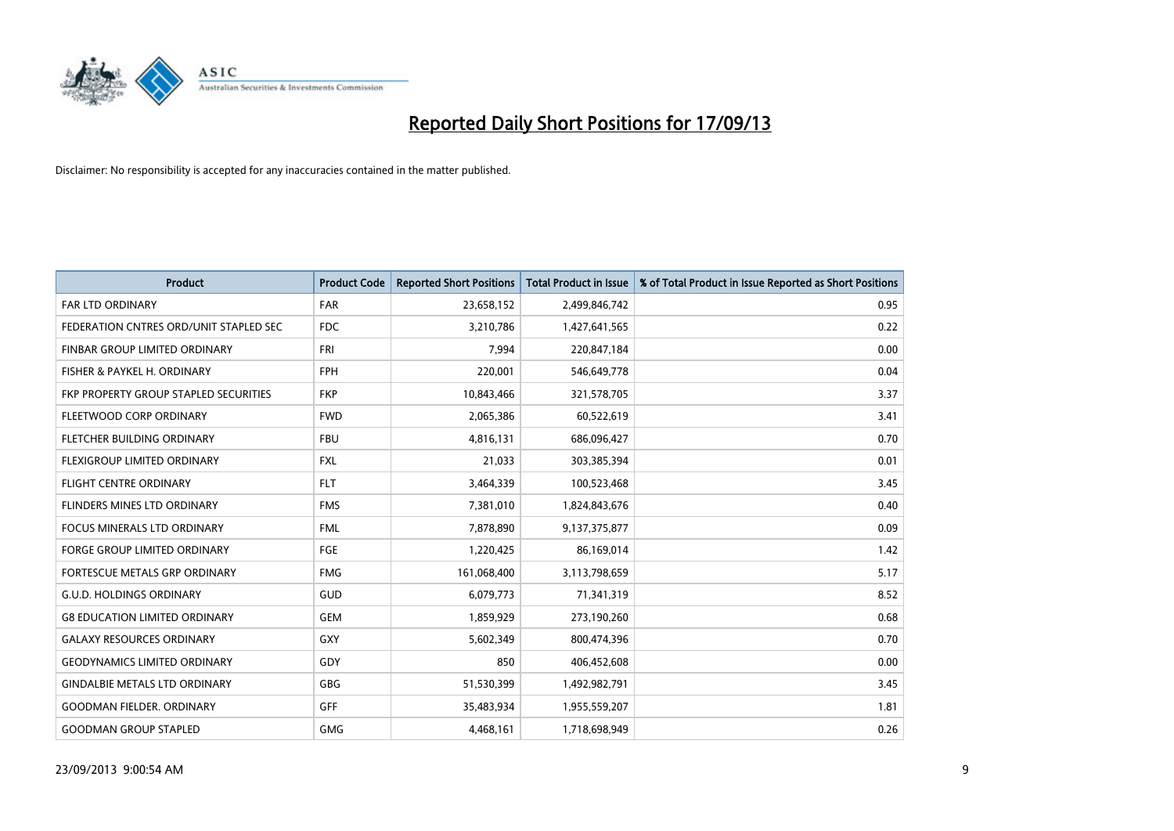

| <b>Product</b>                         | <b>Product Code</b> | <b>Reported Short Positions</b> | <b>Total Product in Issue</b> | % of Total Product in Issue Reported as Short Positions |
|----------------------------------------|---------------------|---------------------------------|-------------------------------|---------------------------------------------------------|
| <b>FAR LTD ORDINARY</b>                | <b>FAR</b>          | 23,658,152                      | 2,499,846,742                 | 0.95                                                    |
| FEDERATION CNTRES ORD/UNIT STAPLED SEC | FDC                 | 3,210,786                       | 1,427,641,565                 | 0.22                                                    |
| <b>FINBAR GROUP LIMITED ORDINARY</b>   | <b>FRI</b>          | 7,994                           | 220,847,184                   | 0.00                                                    |
| FISHER & PAYKEL H. ORDINARY            | <b>FPH</b>          | 220,001                         | 546,649,778                   | 0.04                                                    |
| FKP PROPERTY GROUP STAPLED SECURITIES  | <b>FKP</b>          | 10,843,466                      | 321,578,705                   | 3.37                                                    |
| FLEETWOOD CORP ORDINARY                | <b>FWD</b>          | 2,065,386                       | 60,522,619                    | 3.41                                                    |
| FLETCHER BUILDING ORDINARY             | <b>FBU</b>          | 4,816,131                       | 686,096,427                   | 0.70                                                    |
| FLEXIGROUP LIMITED ORDINARY            | FXL                 | 21,033                          | 303,385,394                   | 0.01                                                    |
| <b>FLIGHT CENTRE ORDINARY</b>          | <b>FLT</b>          | 3,464,339                       | 100,523,468                   | 3.45                                                    |
| FLINDERS MINES LTD ORDINARY            | <b>FMS</b>          | 7,381,010                       | 1,824,843,676                 | 0.40                                                    |
| FOCUS MINERALS LTD ORDINARY            | <b>FML</b>          | 7,878,890                       | 9,137,375,877                 | 0.09                                                    |
| FORGE GROUP LIMITED ORDINARY           | FGE                 | 1,220,425                       | 86,169,014                    | 1.42                                                    |
| FORTESCUE METALS GRP ORDINARY          | <b>FMG</b>          | 161,068,400                     | 3,113,798,659                 | 5.17                                                    |
| <b>G.U.D. HOLDINGS ORDINARY</b>        | GUD                 | 6,079,773                       | 71,341,319                    | 8.52                                                    |
| <b>G8 EDUCATION LIMITED ORDINARY</b>   | <b>GEM</b>          | 1,859,929                       | 273,190,260                   | 0.68                                                    |
| <b>GALAXY RESOURCES ORDINARY</b>       | GXY                 | 5,602,349                       | 800,474,396                   | 0.70                                                    |
| <b>GEODYNAMICS LIMITED ORDINARY</b>    | GDY                 | 850                             | 406,452,608                   | 0.00                                                    |
| <b>GINDALBIE METALS LTD ORDINARY</b>   | GBG                 | 51,530,399                      | 1,492,982,791                 | 3.45                                                    |
| <b>GOODMAN FIELDER, ORDINARY</b>       | <b>GFF</b>          | 35,483,934                      | 1,955,559,207                 | 1.81                                                    |
| <b>GOODMAN GROUP STAPLED</b>           | <b>GMG</b>          | 4,468,161                       | 1,718,698,949                 | 0.26                                                    |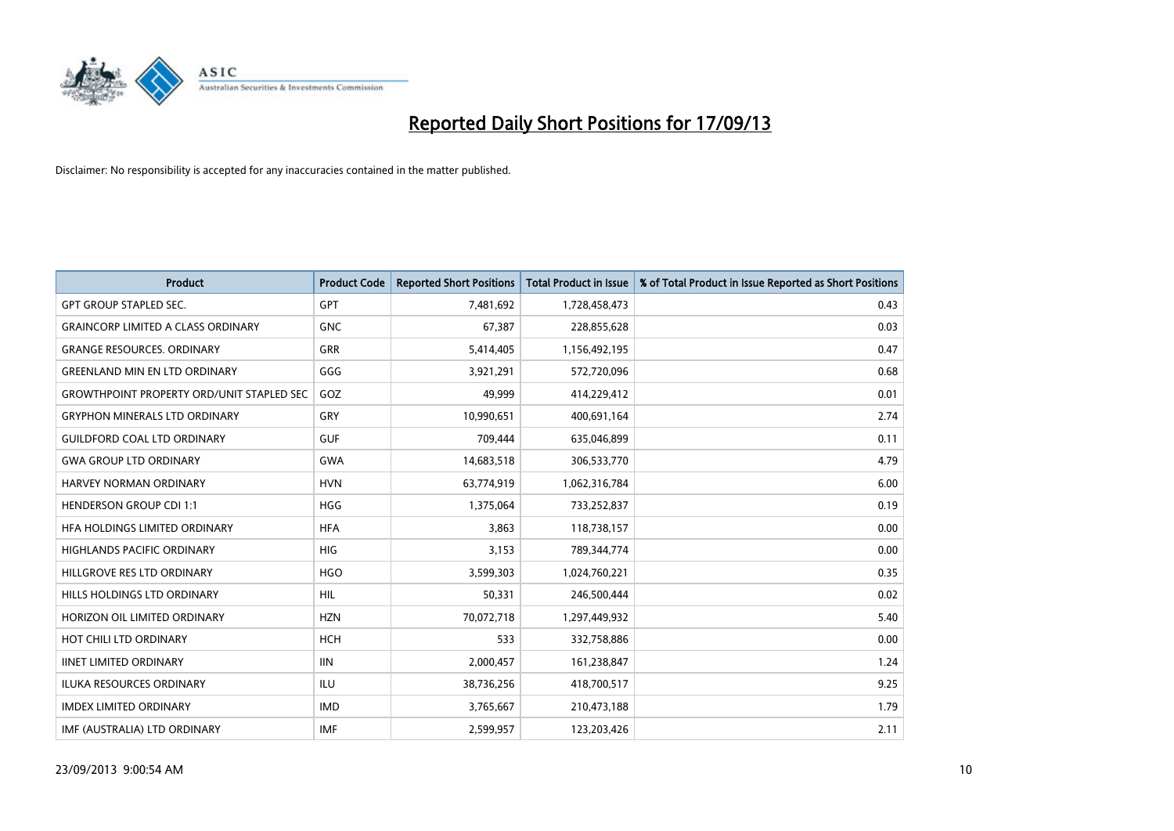

| <b>Product</b>                                   | <b>Product Code</b> | <b>Reported Short Positions</b> | <b>Total Product in Issue</b> | % of Total Product in Issue Reported as Short Positions |
|--------------------------------------------------|---------------------|---------------------------------|-------------------------------|---------------------------------------------------------|
| <b>GPT GROUP STAPLED SEC.</b>                    | <b>GPT</b>          | 7,481,692                       | 1,728,458,473                 | 0.43                                                    |
| <b>GRAINCORP LIMITED A CLASS ORDINARY</b>        | <b>GNC</b>          | 67,387                          | 228,855,628                   | 0.03                                                    |
| <b>GRANGE RESOURCES, ORDINARY</b>                | <b>GRR</b>          | 5,414,405                       | 1,156,492,195                 | 0.47                                                    |
| <b>GREENLAND MIN EN LTD ORDINARY</b>             | GGG                 | 3,921,291                       | 572,720,096                   | 0.68                                                    |
| <b>GROWTHPOINT PROPERTY ORD/UNIT STAPLED SEC</b> | GOZ                 | 49,999                          | 414,229,412                   | 0.01                                                    |
| <b>GRYPHON MINERALS LTD ORDINARY</b>             | GRY                 | 10,990,651                      | 400,691,164                   | 2.74                                                    |
| <b>GUILDFORD COAL LTD ORDINARY</b>               | <b>GUF</b>          | 709,444                         | 635,046,899                   | 0.11                                                    |
| <b>GWA GROUP LTD ORDINARY</b>                    | GWA                 | 14,683,518                      | 306,533,770                   | 4.79                                                    |
| <b>HARVEY NORMAN ORDINARY</b>                    | <b>HVN</b>          | 63,774,919                      | 1,062,316,784                 | 6.00                                                    |
| <b>HENDERSON GROUP CDI 1:1</b>                   | <b>HGG</b>          | 1,375,064                       | 733,252,837                   | 0.19                                                    |
| HFA HOLDINGS LIMITED ORDINARY                    | <b>HFA</b>          | 3,863                           | 118,738,157                   | 0.00                                                    |
| <b>HIGHLANDS PACIFIC ORDINARY</b>                | <b>HIG</b>          | 3,153                           | 789,344,774                   | 0.00                                                    |
| HILLGROVE RES LTD ORDINARY                       | <b>HGO</b>          | 3,599,303                       | 1,024,760,221                 | 0.35                                                    |
| HILLS HOLDINGS LTD ORDINARY                      | <b>HIL</b>          | 50,331                          | 246,500,444                   | 0.02                                                    |
| HORIZON OIL LIMITED ORDINARY                     | <b>HZN</b>          | 70,072,718                      | 1,297,449,932                 | 5.40                                                    |
| HOT CHILI LTD ORDINARY                           | <b>HCH</b>          | 533                             | 332,758,886                   | 0.00                                                    |
| <b>IINET LIMITED ORDINARY</b>                    | <b>IIN</b>          | 2,000,457                       | 161,238,847                   | 1.24                                                    |
| ILUKA RESOURCES ORDINARY                         | ILU                 | 38,736,256                      | 418,700,517                   | 9.25                                                    |
| <b>IMDEX LIMITED ORDINARY</b>                    | <b>IMD</b>          | 3,765,667                       | 210,473,188                   | 1.79                                                    |
| IMF (AUSTRALIA) LTD ORDINARY                     | <b>IMF</b>          | 2,599,957                       | 123,203,426                   | 2.11                                                    |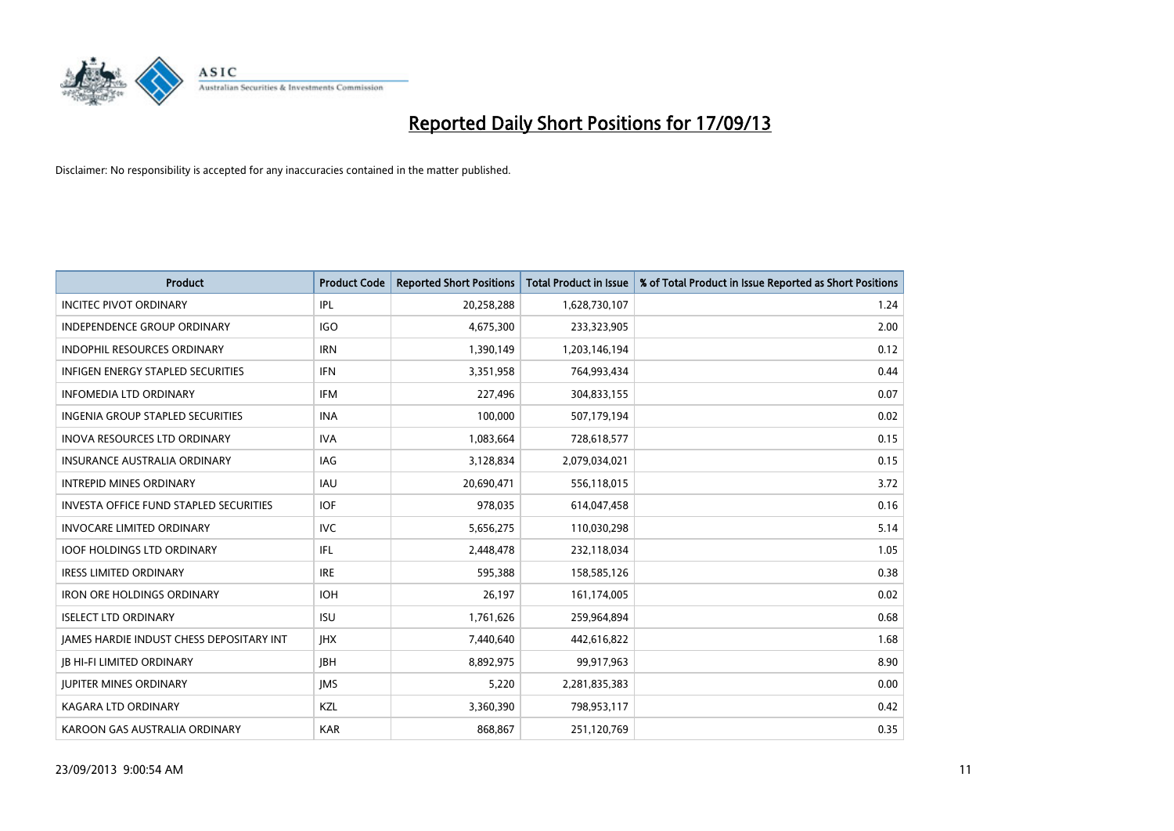

| <b>Product</b>                                | <b>Product Code</b> | <b>Reported Short Positions</b> | <b>Total Product in Issue</b> | % of Total Product in Issue Reported as Short Positions |
|-----------------------------------------------|---------------------|---------------------------------|-------------------------------|---------------------------------------------------------|
| <b>INCITEC PIVOT ORDINARY</b>                 | IPL                 | 20,258,288                      | 1,628,730,107                 | 1.24                                                    |
| INDEPENDENCE GROUP ORDINARY                   | <b>IGO</b>          | 4,675,300                       | 233,323,905                   | 2.00                                                    |
| <b>INDOPHIL RESOURCES ORDINARY</b>            | <b>IRN</b>          | 1,390,149                       | 1,203,146,194                 | 0.12                                                    |
| <b>INFIGEN ENERGY STAPLED SECURITIES</b>      | <b>IFN</b>          | 3,351,958                       | 764,993,434                   | 0.44                                                    |
| <b>INFOMEDIA LTD ORDINARY</b>                 | <b>IFM</b>          | 227,496                         | 304,833,155                   | 0.07                                                    |
| INGENIA GROUP STAPLED SECURITIES              | <b>INA</b>          | 100,000                         | 507,179,194                   | 0.02                                                    |
| <b>INOVA RESOURCES LTD ORDINARY</b>           | <b>IVA</b>          | 1,083,664                       | 728,618,577                   | 0.15                                                    |
| INSURANCE AUSTRALIA ORDINARY                  | IAG                 | 3,128,834                       | 2,079,034,021                 | 0.15                                                    |
| <b>INTREPID MINES ORDINARY</b>                | <b>IAU</b>          | 20,690,471                      | 556,118,015                   | 3.72                                                    |
| <b>INVESTA OFFICE FUND STAPLED SECURITIES</b> | <b>IOF</b>          | 978,035                         | 614,047,458                   | 0.16                                                    |
| <b>INVOCARE LIMITED ORDINARY</b>              | IVC                 | 5,656,275                       | 110,030,298                   | 5.14                                                    |
| <b>IOOF HOLDINGS LTD ORDINARY</b>             | IFL                 | 2,448,478                       | 232,118,034                   | 1.05                                                    |
| <b>IRESS LIMITED ORDINARY</b>                 | <b>IRE</b>          | 595,388                         | 158,585,126                   | 0.38                                                    |
| <b>IRON ORE HOLDINGS ORDINARY</b>             | <b>IOH</b>          | 26,197                          | 161,174,005                   | 0.02                                                    |
| <b>ISELECT LTD ORDINARY</b>                   | <b>ISU</b>          | 1,761,626                       | 259,964,894                   | 0.68                                                    |
| JAMES HARDIE INDUST CHESS DEPOSITARY INT      | <b>IHX</b>          | 7,440,640                       | 442,616,822                   | 1.68                                                    |
| <b>JB HI-FI LIMITED ORDINARY</b>              | <b>IBH</b>          | 8,892,975                       | 99,917,963                    | 8.90                                                    |
| <b>JUPITER MINES ORDINARY</b>                 | <b>IMS</b>          | 5,220                           | 2,281,835,383                 | 0.00                                                    |
| <b>KAGARA LTD ORDINARY</b>                    | KZL                 | 3,360,390                       | 798,953,117                   | 0.42                                                    |
| KAROON GAS AUSTRALIA ORDINARY                 | <b>KAR</b>          | 868,867                         | 251,120,769                   | 0.35                                                    |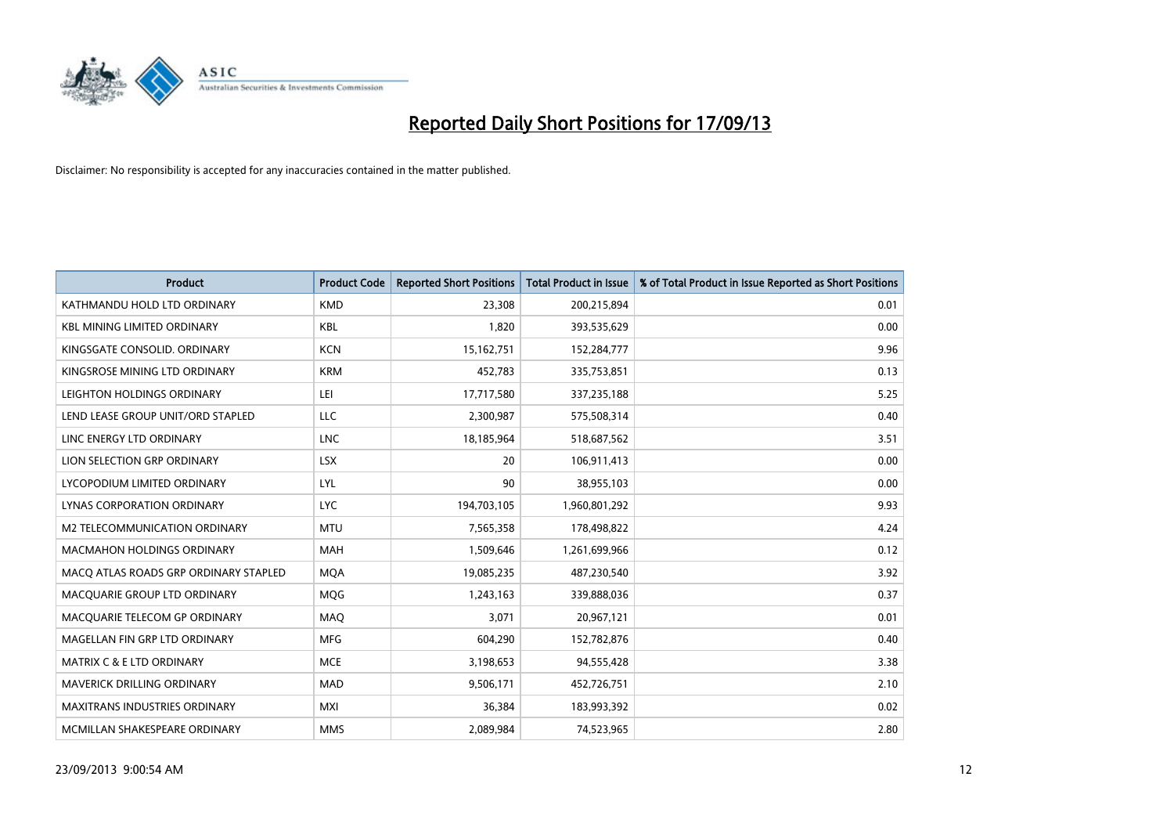

| <b>Product</b>                        | <b>Product Code</b> | <b>Reported Short Positions</b> | <b>Total Product in Issue</b> | % of Total Product in Issue Reported as Short Positions |
|---------------------------------------|---------------------|---------------------------------|-------------------------------|---------------------------------------------------------|
| KATHMANDU HOLD LTD ORDINARY           | <b>KMD</b>          | 23,308                          | 200,215,894                   | 0.01                                                    |
| <b>KBL MINING LIMITED ORDINARY</b>    | <b>KBL</b>          | 1,820                           | 393,535,629                   | 0.00                                                    |
| KINGSGATE CONSOLID. ORDINARY          | <b>KCN</b>          | 15,162,751                      | 152,284,777                   | 9.96                                                    |
| KINGSROSE MINING LTD ORDINARY         | <b>KRM</b>          | 452,783                         | 335,753,851                   | 0.13                                                    |
| LEIGHTON HOLDINGS ORDINARY            | LEI                 | 17,717,580                      | 337,235,188                   | 5.25                                                    |
| LEND LEASE GROUP UNIT/ORD STAPLED     | <b>LLC</b>          | 2,300,987                       | 575,508,314                   | 0.40                                                    |
| LINC ENERGY LTD ORDINARY              | <b>LNC</b>          | 18,185,964                      | 518,687,562                   | 3.51                                                    |
| LION SELECTION GRP ORDINARY           | <b>LSX</b>          | 20                              | 106,911,413                   | 0.00                                                    |
| LYCOPODIUM LIMITED ORDINARY           | <b>LYL</b>          | 90                              | 38,955,103                    | 0.00                                                    |
| LYNAS CORPORATION ORDINARY            | <b>LYC</b>          | 194,703,105                     | 1,960,801,292                 | 9.93                                                    |
| <b>M2 TELECOMMUNICATION ORDINARY</b>  | <b>MTU</b>          | 7,565,358                       | 178,498,822                   | 4.24                                                    |
| MACMAHON HOLDINGS ORDINARY            | MAH                 | 1,509,646                       | 1,261,699,966                 | 0.12                                                    |
| MACO ATLAS ROADS GRP ORDINARY STAPLED | <b>MOA</b>          | 19,085,235                      | 487,230,540                   | 3.92                                                    |
| MACQUARIE GROUP LTD ORDINARY          | MQG                 | 1,243,163                       | 339,888,036                   | 0.37                                                    |
| MACQUARIE TELECOM GP ORDINARY         | <b>MAQ</b>          | 3,071                           | 20,967,121                    | 0.01                                                    |
| MAGELLAN FIN GRP LTD ORDINARY         | <b>MFG</b>          | 604,290                         | 152,782,876                   | 0.40                                                    |
| <b>MATRIX C &amp; E LTD ORDINARY</b>  | <b>MCE</b>          | 3,198,653                       | 94,555,428                    | 3.38                                                    |
| MAVERICK DRILLING ORDINARY            | <b>MAD</b>          | 9,506,171                       | 452,726,751                   | 2.10                                                    |
| <b>MAXITRANS INDUSTRIES ORDINARY</b>  | <b>MXI</b>          | 36,384                          | 183,993,392                   | 0.02                                                    |
| MCMILLAN SHAKESPEARE ORDINARY         | <b>MMS</b>          | 2,089,984                       | 74,523,965                    | 2.80                                                    |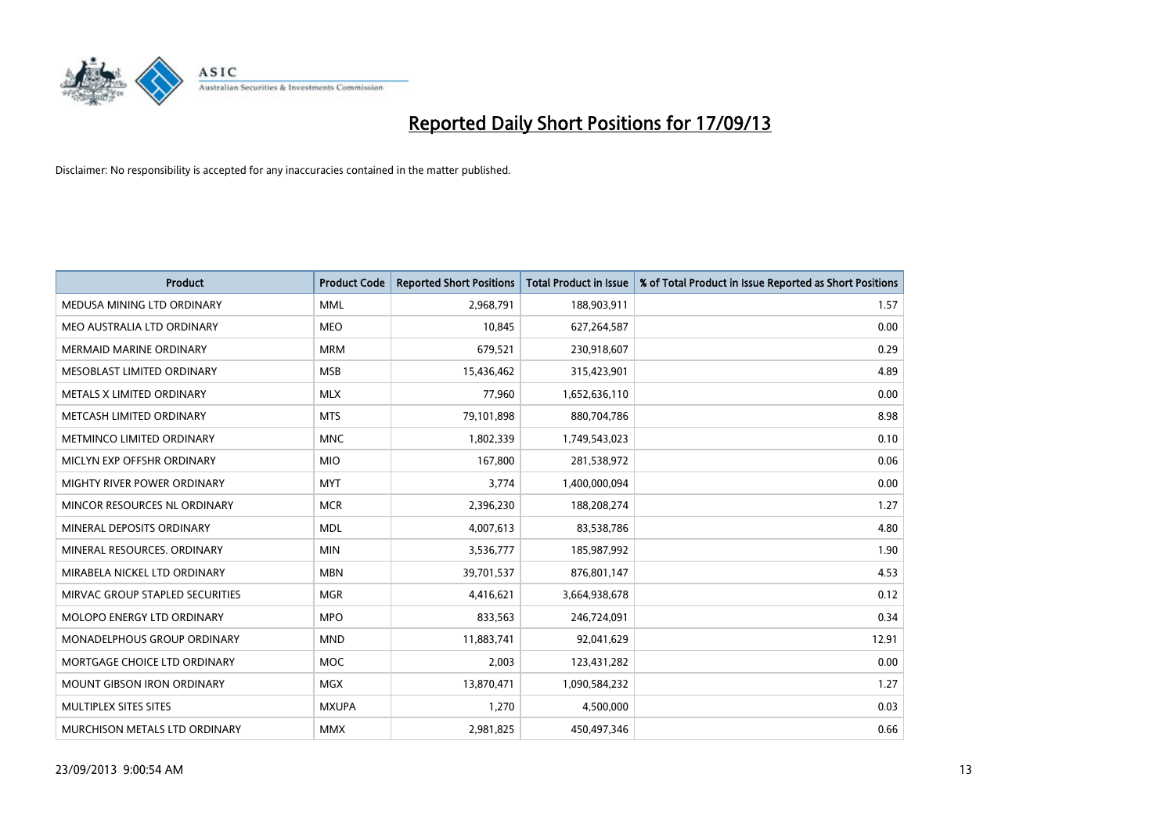

| <b>Product</b>                    | <b>Product Code</b> | <b>Reported Short Positions</b> | <b>Total Product in Issue</b> | % of Total Product in Issue Reported as Short Positions |
|-----------------------------------|---------------------|---------------------------------|-------------------------------|---------------------------------------------------------|
| MEDUSA MINING LTD ORDINARY        | <b>MML</b>          | 2,968,791                       | 188,903,911                   | 1.57                                                    |
| MEO AUSTRALIA LTD ORDINARY        | <b>MEO</b>          | 10,845                          | 627,264,587                   | 0.00                                                    |
| <b>MERMAID MARINE ORDINARY</b>    | <b>MRM</b>          | 679,521                         | 230,918,607                   | 0.29                                                    |
| MESOBLAST LIMITED ORDINARY        | <b>MSB</b>          | 15,436,462                      | 315,423,901                   | 4.89                                                    |
| METALS X LIMITED ORDINARY         | <b>MLX</b>          | 77,960                          | 1,652,636,110                 | 0.00                                                    |
| METCASH LIMITED ORDINARY          | <b>MTS</b>          | 79,101,898                      | 880,704,786                   | 8.98                                                    |
| METMINCO LIMITED ORDINARY         | <b>MNC</b>          | 1,802,339                       | 1,749,543,023                 | 0.10                                                    |
| MICLYN EXP OFFSHR ORDINARY        | <b>MIO</b>          | 167,800                         | 281,538,972                   | 0.06                                                    |
| MIGHTY RIVER POWER ORDINARY       | <b>MYT</b>          | 3,774                           | 1,400,000,094                 | 0.00                                                    |
| MINCOR RESOURCES NL ORDINARY      | <b>MCR</b>          | 2,396,230                       | 188,208,274                   | 1.27                                                    |
| MINERAL DEPOSITS ORDINARY         | <b>MDL</b>          | 4,007,613                       | 83,538,786                    | 4.80                                                    |
| MINERAL RESOURCES, ORDINARY       | <b>MIN</b>          | 3,536,777                       | 185,987,992                   | 1.90                                                    |
| MIRABELA NICKEL LTD ORDINARY      | <b>MBN</b>          | 39,701,537                      | 876,801,147                   | 4.53                                                    |
| MIRVAC GROUP STAPLED SECURITIES   | <b>MGR</b>          | 4,416,621                       | 3,664,938,678                 | 0.12                                                    |
| MOLOPO ENERGY LTD ORDINARY        | <b>MPO</b>          | 833,563                         | 246,724,091                   | 0.34                                                    |
| MONADELPHOUS GROUP ORDINARY       | <b>MND</b>          | 11,883,741                      | 92,041,629                    | 12.91                                                   |
| MORTGAGE CHOICE LTD ORDINARY      | MOC                 | 2,003                           | 123,431,282                   | 0.00                                                    |
| <b>MOUNT GIBSON IRON ORDINARY</b> | <b>MGX</b>          | 13,870,471                      | 1,090,584,232                 | 1.27                                                    |
| MULTIPLEX SITES SITES             | <b>MXUPA</b>        | 1,270                           | 4,500,000                     | 0.03                                                    |
| MURCHISON METALS LTD ORDINARY     | <b>MMX</b>          | 2,981,825                       | 450,497,346                   | 0.66                                                    |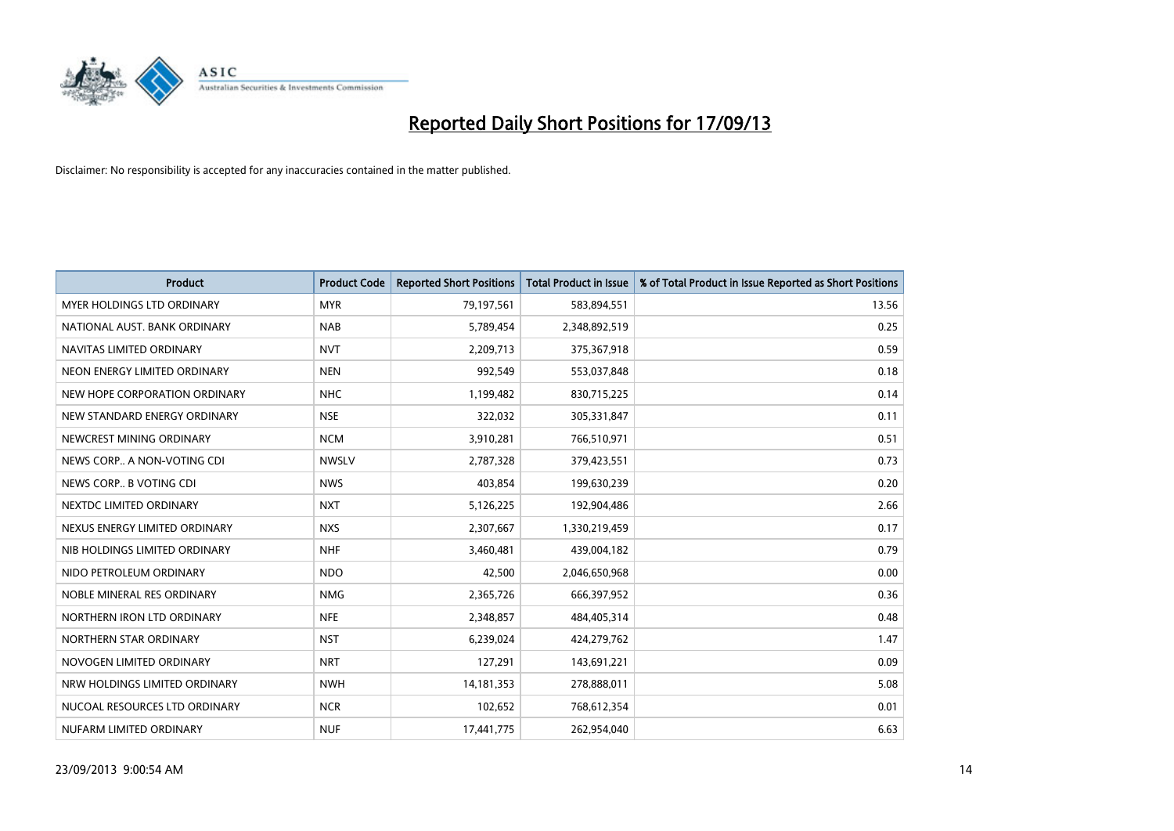

| <b>Product</b>                | <b>Product Code</b> | <b>Reported Short Positions</b> | <b>Total Product in Issue</b> | % of Total Product in Issue Reported as Short Positions |
|-------------------------------|---------------------|---------------------------------|-------------------------------|---------------------------------------------------------|
| MYER HOLDINGS LTD ORDINARY    | <b>MYR</b>          | 79,197,561                      | 583,894,551                   | 13.56                                                   |
| NATIONAL AUST. BANK ORDINARY  | <b>NAB</b>          | 5,789,454                       | 2,348,892,519                 | 0.25                                                    |
| NAVITAS LIMITED ORDINARY      | <b>NVT</b>          | 2,209,713                       | 375,367,918                   | 0.59                                                    |
| NEON ENERGY LIMITED ORDINARY  | <b>NEN</b>          | 992,549                         | 553,037,848                   | 0.18                                                    |
| NEW HOPE CORPORATION ORDINARY | <b>NHC</b>          | 1,199,482                       | 830,715,225                   | 0.14                                                    |
| NEW STANDARD ENERGY ORDINARY  | <b>NSE</b>          | 322,032                         | 305,331,847                   | 0.11                                                    |
| NEWCREST MINING ORDINARY      | <b>NCM</b>          | 3,910,281                       | 766,510,971                   | 0.51                                                    |
| NEWS CORP A NON-VOTING CDI    | <b>NWSLV</b>        | 2,787,328                       | 379,423,551                   | 0.73                                                    |
| NEWS CORP B VOTING CDI        | <b>NWS</b>          | 403,854                         | 199,630,239                   | 0.20                                                    |
| NEXTDC LIMITED ORDINARY       | <b>NXT</b>          | 5,126,225                       | 192,904,486                   | 2.66                                                    |
| NEXUS ENERGY LIMITED ORDINARY | <b>NXS</b>          | 2,307,667                       | 1,330,219,459                 | 0.17                                                    |
| NIB HOLDINGS LIMITED ORDINARY | <b>NHF</b>          | 3,460,481                       | 439,004,182                   | 0.79                                                    |
| NIDO PETROLEUM ORDINARY       | <b>NDO</b>          | 42,500                          | 2,046,650,968                 | 0.00                                                    |
| NOBLE MINERAL RES ORDINARY    | <b>NMG</b>          | 2,365,726                       | 666,397,952                   | 0.36                                                    |
| NORTHERN IRON LTD ORDINARY    | <b>NFE</b>          | 2,348,857                       | 484,405,314                   | 0.48                                                    |
| NORTHERN STAR ORDINARY        | <b>NST</b>          | 6,239,024                       | 424,279,762                   | 1.47                                                    |
| NOVOGEN LIMITED ORDINARY      | <b>NRT</b>          | 127,291                         | 143,691,221                   | 0.09                                                    |
| NRW HOLDINGS LIMITED ORDINARY | <b>NWH</b>          | 14, 181, 353                    | 278,888,011                   | 5.08                                                    |
| NUCOAL RESOURCES LTD ORDINARY | <b>NCR</b>          | 102,652                         | 768,612,354                   | 0.01                                                    |
| NUFARM LIMITED ORDINARY       | <b>NUF</b>          | 17,441,775                      | 262,954,040                   | 6.63                                                    |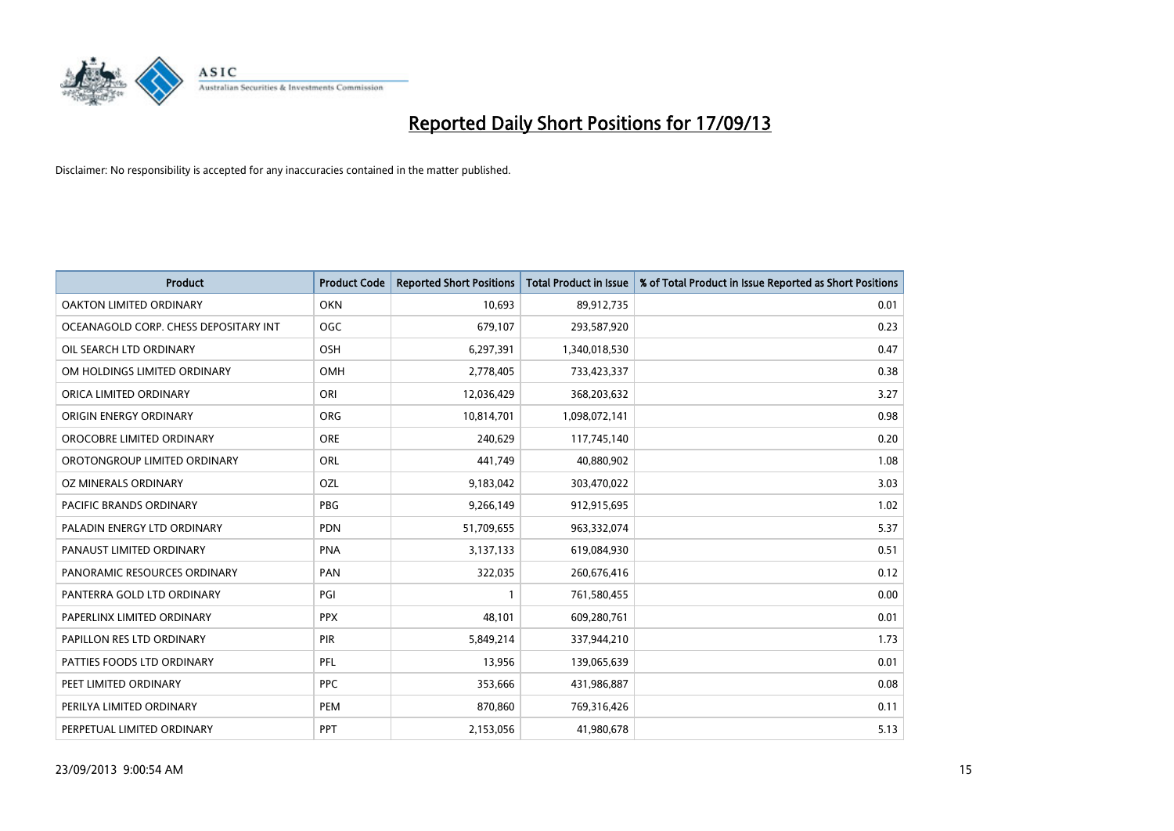

| <b>Product</b>                        | <b>Product Code</b> | <b>Reported Short Positions</b> | <b>Total Product in Issue</b> | % of Total Product in Issue Reported as Short Positions |
|---------------------------------------|---------------------|---------------------------------|-------------------------------|---------------------------------------------------------|
| <b>OAKTON LIMITED ORDINARY</b>        | <b>OKN</b>          | 10,693                          | 89,912,735                    | 0.01                                                    |
| OCEANAGOLD CORP. CHESS DEPOSITARY INT | <b>OGC</b>          | 679,107                         | 293,587,920                   | 0.23                                                    |
| OIL SEARCH LTD ORDINARY               | OSH                 | 6,297,391                       | 1,340,018,530                 | 0.47                                                    |
| OM HOLDINGS LIMITED ORDINARY          | OMH                 | 2,778,405                       | 733,423,337                   | 0.38                                                    |
| ORICA LIMITED ORDINARY                | ORI                 | 12,036,429                      | 368,203,632                   | 3.27                                                    |
| ORIGIN ENERGY ORDINARY                | ORG                 | 10,814,701                      | 1,098,072,141                 | 0.98                                                    |
| OROCOBRE LIMITED ORDINARY             | <b>ORE</b>          | 240,629                         | 117,745,140                   | 0.20                                                    |
| OROTONGROUP LIMITED ORDINARY          | ORL                 | 441,749                         | 40,880,902                    | 1.08                                                    |
| <b>OZ MINERALS ORDINARY</b>           | OZL                 | 9,183,042                       | 303,470,022                   | 3.03                                                    |
| <b>PACIFIC BRANDS ORDINARY</b>        | <b>PBG</b>          | 9,266,149                       | 912,915,695                   | 1.02                                                    |
| PALADIN ENERGY LTD ORDINARY           | <b>PDN</b>          | 51,709,655                      | 963,332,074                   | 5.37                                                    |
| PANAUST LIMITED ORDINARY              | <b>PNA</b>          | 3,137,133                       | 619,084,930                   | 0.51                                                    |
| PANORAMIC RESOURCES ORDINARY          | PAN                 | 322,035                         | 260,676,416                   | 0.12                                                    |
| PANTERRA GOLD LTD ORDINARY            | PGI                 | $\mathbf{1}$                    | 761,580,455                   | 0.00                                                    |
| PAPERLINX LIMITED ORDINARY            | <b>PPX</b>          | 48,101                          | 609,280,761                   | 0.01                                                    |
| PAPILLON RES LTD ORDINARY             | PIR                 | 5,849,214                       | 337,944,210                   | 1.73                                                    |
| PATTIES FOODS LTD ORDINARY            | PFL                 | 13,956                          | 139,065,639                   | 0.01                                                    |
| PEET LIMITED ORDINARY                 | <b>PPC</b>          | 353,666                         | 431,986,887                   | 0.08                                                    |
| PERILYA LIMITED ORDINARY              | <b>PEM</b>          | 870,860                         | 769,316,426                   | 0.11                                                    |
| PERPETUAL LIMITED ORDINARY            | PPT                 | 2,153,056                       | 41,980,678                    | 5.13                                                    |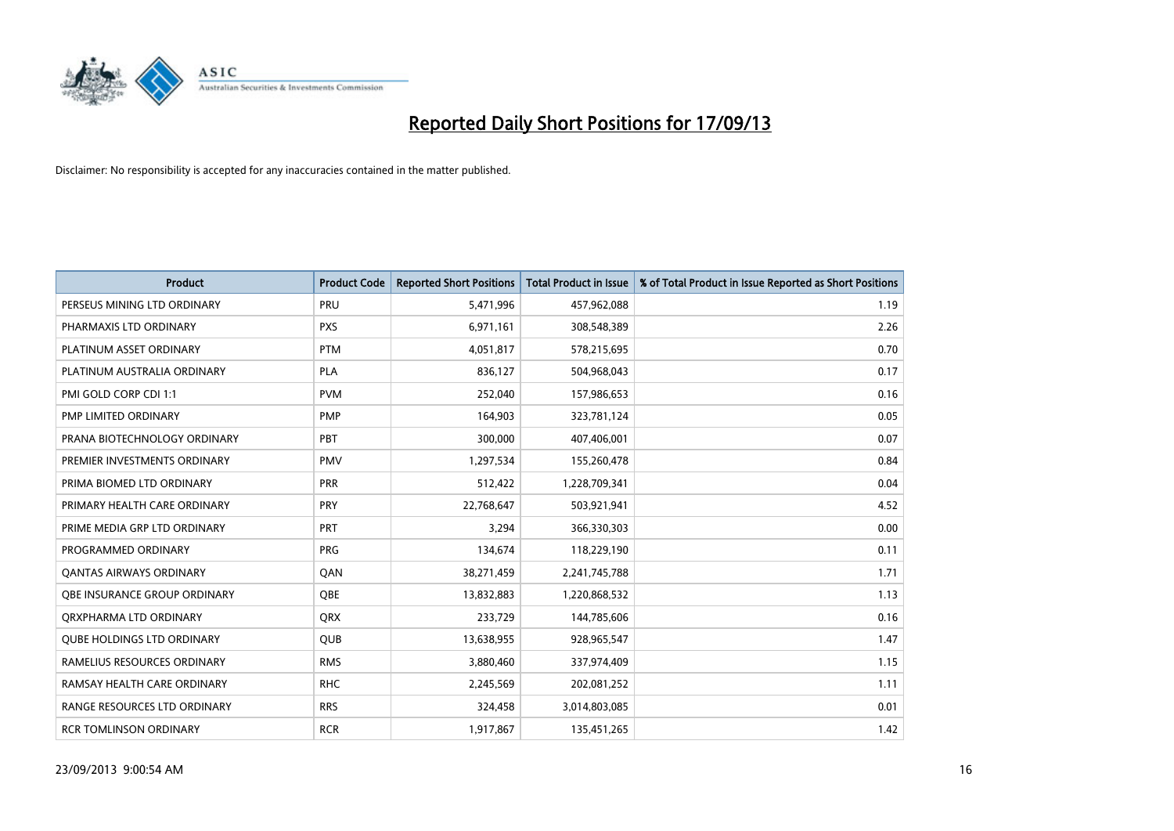

| <b>Product</b>                      | <b>Product Code</b> | <b>Reported Short Positions</b> | <b>Total Product in Issue</b> | % of Total Product in Issue Reported as Short Positions |
|-------------------------------------|---------------------|---------------------------------|-------------------------------|---------------------------------------------------------|
| PERSEUS MINING LTD ORDINARY         | PRU                 | 5,471,996                       | 457,962,088                   | 1.19                                                    |
| PHARMAXIS LTD ORDINARY              | <b>PXS</b>          | 6,971,161                       | 308,548,389                   | 2.26                                                    |
| PLATINUM ASSET ORDINARY             | <b>PTM</b>          | 4,051,817                       | 578,215,695                   | 0.70                                                    |
| PLATINUM AUSTRALIA ORDINARY         | PLA                 | 836,127                         | 504,968,043                   | 0.17                                                    |
| PMI GOLD CORP CDI 1:1               | <b>PVM</b>          | 252,040                         | 157,986,653                   | 0.16                                                    |
| PMP LIMITED ORDINARY                | PMP                 | 164,903                         | 323,781,124                   | 0.05                                                    |
| PRANA BIOTECHNOLOGY ORDINARY        | PBT                 | 300,000                         | 407,406,001                   | 0.07                                                    |
| PREMIER INVESTMENTS ORDINARY        | <b>PMV</b>          | 1,297,534                       | 155,260,478                   | 0.84                                                    |
| PRIMA BIOMED LTD ORDINARY           | <b>PRR</b>          | 512,422                         | 1,228,709,341                 | 0.04                                                    |
| PRIMARY HEALTH CARE ORDINARY        | <b>PRY</b>          | 22,768,647                      | 503,921,941                   | 4.52                                                    |
| PRIME MEDIA GRP LTD ORDINARY        | <b>PRT</b>          | 3,294                           | 366,330,303                   | 0.00                                                    |
| PROGRAMMED ORDINARY                 | <b>PRG</b>          | 134,674                         | 118,229,190                   | 0.11                                                    |
| <b>QANTAS AIRWAYS ORDINARY</b>      | QAN                 | 38,271,459                      | 2,241,745,788                 | 1.71                                                    |
| <b>OBE INSURANCE GROUP ORDINARY</b> | <b>OBE</b>          | 13,832,883                      | 1,220,868,532                 | 1.13                                                    |
| ORXPHARMA LTD ORDINARY              | <b>ORX</b>          | 233,729                         | 144,785,606                   | 0.16                                                    |
| <b>QUBE HOLDINGS LTD ORDINARY</b>   | QUB                 | 13,638,955                      | 928,965,547                   | 1.47                                                    |
| RAMELIUS RESOURCES ORDINARY         | <b>RMS</b>          | 3,880,460                       | 337,974,409                   | 1.15                                                    |
| RAMSAY HEALTH CARE ORDINARY         | <b>RHC</b>          | 2,245,569                       | 202,081,252                   | 1.11                                                    |
| RANGE RESOURCES LTD ORDINARY        | <b>RRS</b>          | 324,458                         | 3,014,803,085                 | 0.01                                                    |
| <b>RCR TOMLINSON ORDINARY</b>       | <b>RCR</b>          | 1,917,867                       | 135,451,265                   | 1.42                                                    |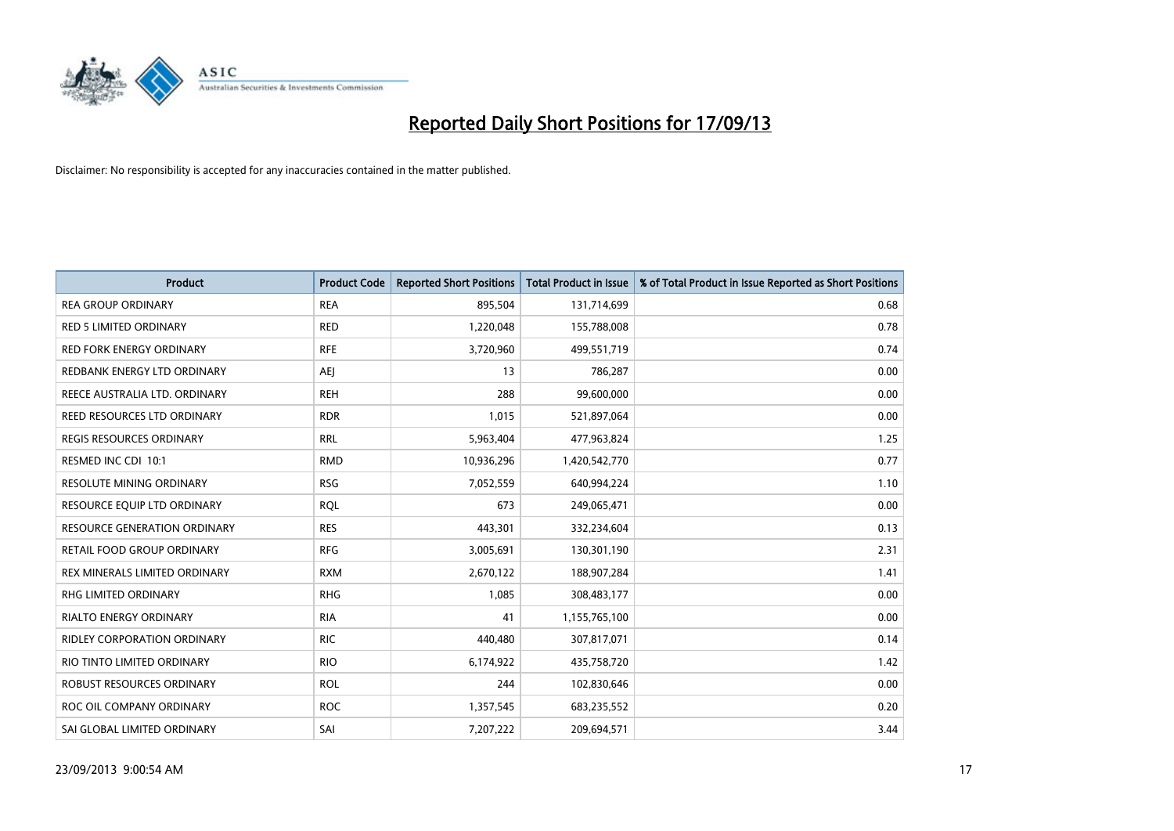

| <b>Product</b>                      | <b>Product Code</b> | <b>Reported Short Positions</b> | <b>Total Product in Issue</b> | % of Total Product in Issue Reported as Short Positions |
|-------------------------------------|---------------------|---------------------------------|-------------------------------|---------------------------------------------------------|
| <b>REA GROUP ORDINARY</b>           | <b>REA</b>          | 895,504                         | 131,714,699                   | 0.68                                                    |
| <b>RED 5 LIMITED ORDINARY</b>       | <b>RED</b>          | 1,220,048                       | 155,788,008                   | 0.78                                                    |
| <b>RED FORK ENERGY ORDINARY</b>     | <b>RFE</b>          | 3,720,960                       | 499,551,719                   | 0.74                                                    |
| REDBANK ENERGY LTD ORDINARY         | <b>AEI</b>          | 13                              | 786,287                       | 0.00                                                    |
| REECE AUSTRALIA LTD. ORDINARY       | <b>REH</b>          | 288                             | 99,600,000                    | 0.00                                                    |
| REED RESOURCES LTD ORDINARY         | <b>RDR</b>          | 1,015                           | 521,897,064                   | 0.00                                                    |
| <b>REGIS RESOURCES ORDINARY</b>     | <b>RRL</b>          | 5,963,404                       | 477,963,824                   | 1.25                                                    |
| RESMED INC CDI 10:1                 | <b>RMD</b>          | 10,936,296                      | 1,420,542,770                 | 0.77                                                    |
| RESOLUTE MINING ORDINARY            | <b>RSG</b>          | 7,052,559                       | 640,994,224                   | 1.10                                                    |
| RESOURCE EQUIP LTD ORDINARY         | <b>RQL</b>          | 673                             | 249,065,471                   | 0.00                                                    |
| <b>RESOURCE GENERATION ORDINARY</b> | <b>RES</b>          | 443,301                         | 332,234,604                   | 0.13                                                    |
| RETAIL FOOD GROUP ORDINARY          | <b>RFG</b>          | 3,005,691                       | 130,301,190                   | 2.31                                                    |
| REX MINERALS LIMITED ORDINARY       | <b>RXM</b>          | 2,670,122                       | 188,907,284                   | 1.41                                                    |
| <b>RHG LIMITED ORDINARY</b>         | <b>RHG</b>          | 1,085                           | 308,483,177                   | 0.00                                                    |
| RIALTO ENERGY ORDINARY              | <b>RIA</b>          | 41                              | 1,155,765,100                 | 0.00                                                    |
| <b>RIDLEY CORPORATION ORDINARY</b>  | <b>RIC</b>          | 440,480                         | 307,817,071                   | 0.14                                                    |
| RIO TINTO LIMITED ORDINARY          | <b>RIO</b>          | 6,174,922                       | 435,758,720                   | 1.42                                                    |
| <b>ROBUST RESOURCES ORDINARY</b>    | <b>ROL</b>          | 244                             | 102,830,646                   | 0.00                                                    |
| ROC OIL COMPANY ORDINARY            | <b>ROC</b>          | 1,357,545                       | 683,235,552                   | 0.20                                                    |
| SAI GLOBAL LIMITED ORDINARY         | SAI                 | 7,207,222                       | 209,694,571                   | 3.44                                                    |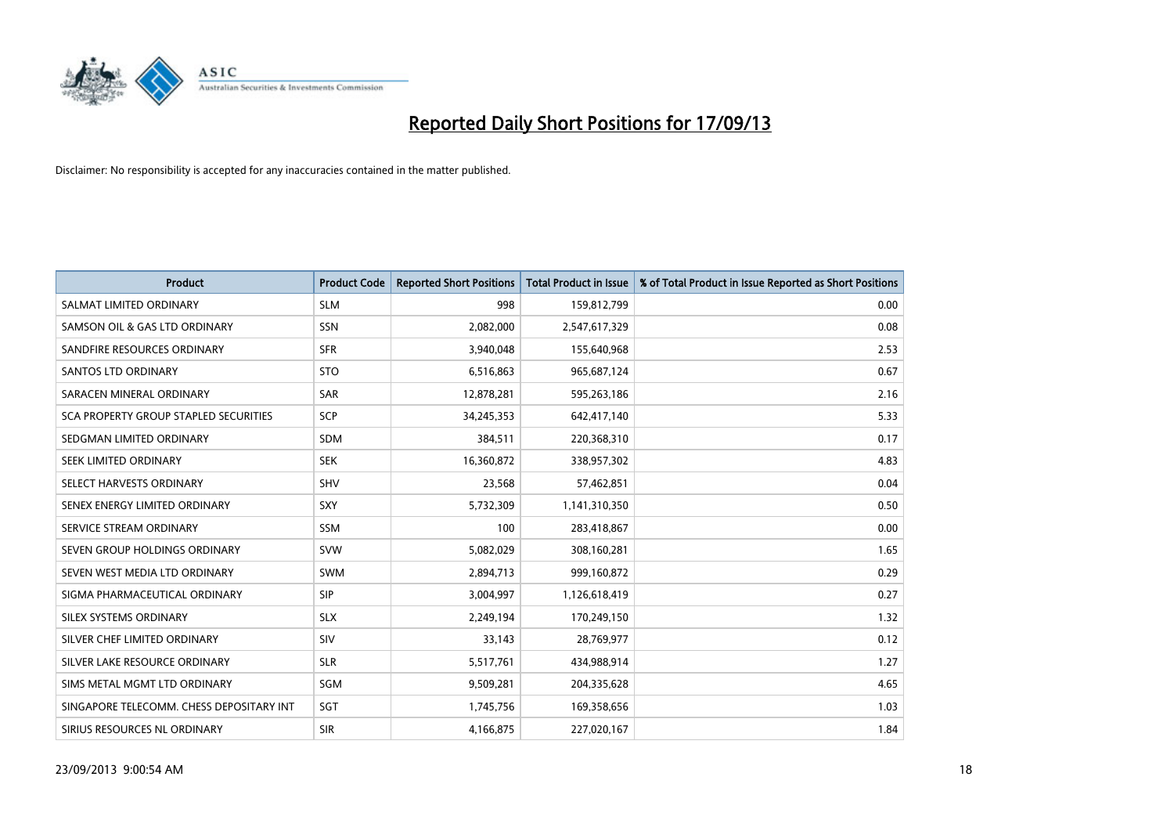

| <b>Product</b>                           | <b>Product Code</b> | <b>Reported Short Positions</b> | <b>Total Product in Issue</b> | % of Total Product in Issue Reported as Short Positions |
|------------------------------------------|---------------------|---------------------------------|-------------------------------|---------------------------------------------------------|
| SALMAT LIMITED ORDINARY                  | <b>SLM</b>          | 998                             | 159,812,799                   | 0.00                                                    |
| SAMSON OIL & GAS LTD ORDINARY            | <b>SSN</b>          | 2,082,000                       | 2,547,617,329                 | 0.08                                                    |
| SANDFIRE RESOURCES ORDINARY              | <b>SFR</b>          | 3,940,048                       | 155,640,968                   | 2.53                                                    |
| <b>SANTOS LTD ORDINARY</b>               | <b>STO</b>          | 6,516,863                       | 965,687,124                   | 0.67                                                    |
| SARACEN MINERAL ORDINARY                 | <b>SAR</b>          | 12,878,281                      | 595,263,186                   | 2.16                                                    |
| SCA PROPERTY GROUP STAPLED SECURITIES    | SCP                 | 34,245,353                      | 642,417,140                   | 5.33                                                    |
| SEDGMAN LIMITED ORDINARY                 | SDM                 | 384,511                         | 220,368,310                   | 0.17                                                    |
| SEEK LIMITED ORDINARY                    | <b>SEK</b>          | 16,360,872                      | 338,957,302                   | 4.83                                                    |
| SELECT HARVESTS ORDINARY                 | <b>SHV</b>          | 23,568                          | 57,462,851                    | 0.04                                                    |
| SENEX ENERGY LIMITED ORDINARY            | <b>SXY</b>          | 5,732,309                       | 1,141,310,350                 | 0.50                                                    |
| SERVICE STREAM ORDINARY                  | SSM                 | 100                             | 283,418,867                   | 0.00                                                    |
| SEVEN GROUP HOLDINGS ORDINARY            | <b>SVW</b>          | 5,082,029                       | 308,160,281                   | 1.65                                                    |
| SEVEN WEST MEDIA LTD ORDINARY            | <b>SWM</b>          | 2,894,713                       | 999,160,872                   | 0.29                                                    |
| SIGMA PHARMACEUTICAL ORDINARY            | <b>SIP</b>          | 3,004,997                       | 1,126,618,419                 | 0.27                                                    |
| SILEX SYSTEMS ORDINARY                   | <b>SLX</b>          | 2,249,194                       | 170,249,150                   | 1.32                                                    |
| SILVER CHEF LIMITED ORDINARY             | SIV                 | 33,143                          | 28,769,977                    | 0.12                                                    |
| SILVER LAKE RESOURCE ORDINARY            | <b>SLR</b>          | 5,517,761                       | 434,988,914                   | 1.27                                                    |
| SIMS METAL MGMT LTD ORDINARY             | SGM                 | 9,509,281                       | 204,335,628                   | 4.65                                                    |
| SINGAPORE TELECOMM. CHESS DEPOSITARY INT | SGT                 | 1,745,756                       | 169,358,656                   | 1.03                                                    |
| SIRIUS RESOURCES NL ORDINARY             | <b>SIR</b>          | 4,166,875                       | 227,020,167                   | 1.84                                                    |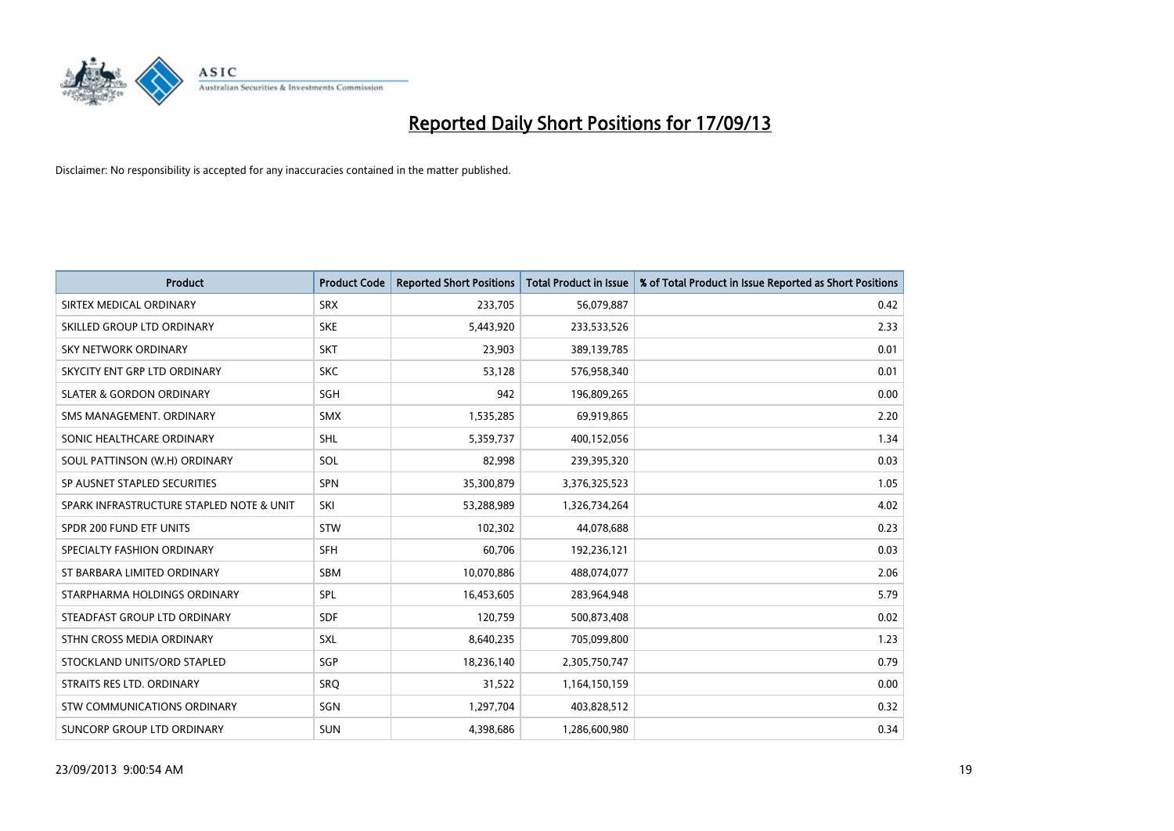

| <b>Product</b>                           | <b>Product Code</b> | <b>Reported Short Positions</b> | <b>Total Product in Issue</b> | % of Total Product in Issue Reported as Short Positions |
|------------------------------------------|---------------------|---------------------------------|-------------------------------|---------------------------------------------------------|
| SIRTEX MEDICAL ORDINARY                  | <b>SRX</b>          | 233,705                         | 56,079,887                    | 0.42                                                    |
| SKILLED GROUP LTD ORDINARY               | <b>SKE</b>          | 5,443,920                       | 233,533,526                   | 2.33                                                    |
| <b>SKY NETWORK ORDINARY</b>              | <b>SKT</b>          | 23,903                          | 389,139,785                   | 0.01                                                    |
| SKYCITY ENT GRP LTD ORDINARY             | <b>SKC</b>          | 53,128                          | 576,958,340                   | 0.01                                                    |
| <b>SLATER &amp; GORDON ORDINARY</b>      | SGH                 | 942                             | 196,809,265                   | 0.00                                                    |
| SMS MANAGEMENT, ORDINARY                 | <b>SMX</b>          | 1,535,285                       | 69,919,865                    | 2.20                                                    |
| SONIC HEALTHCARE ORDINARY                | <b>SHL</b>          | 5,359,737                       | 400,152,056                   | 1.34                                                    |
| SOUL PATTINSON (W.H) ORDINARY            | SOL                 | 82,998                          | 239,395,320                   | 0.03                                                    |
| SP AUSNET STAPLED SECURITIES             | SPN                 | 35,300,879                      | 3,376,325,523                 | 1.05                                                    |
| SPARK INFRASTRUCTURE STAPLED NOTE & UNIT | SKI                 | 53,288,989                      | 1,326,734,264                 | 4.02                                                    |
| SPDR 200 FUND ETF UNITS                  | <b>STW</b>          | 102,302                         | 44,078,688                    | 0.23                                                    |
| SPECIALTY FASHION ORDINARY               | <b>SFH</b>          | 60,706                          | 192,236,121                   | 0.03                                                    |
| ST BARBARA LIMITED ORDINARY              | <b>SBM</b>          | 10,070,886                      | 488,074,077                   | 2.06                                                    |
| STARPHARMA HOLDINGS ORDINARY             | SPL                 | 16,453,605                      | 283,964,948                   | 5.79                                                    |
| STEADFAST GROUP LTD ORDINARY             | <b>SDF</b>          | 120,759                         | 500,873,408                   | 0.02                                                    |
| STHN CROSS MEDIA ORDINARY                | SXL                 | 8,640,235                       | 705,099,800                   | 1.23                                                    |
| STOCKLAND UNITS/ORD STAPLED              | SGP                 | 18,236,140                      | 2,305,750,747                 | 0.79                                                    |
| STRAITS RES LTD. ORDINARY                | <b>SRQ</b>          | 31,522                          | 1,164,150,159                 | 0.00                                                    |
| STW COMMUNICATIONS ORDINARY              | SGN                 | 1,297,704                       | 403,828,512                   | 0.32                                                    |
| SUNCORP GROUP LTD ORDINARY               | <b>SUN</b>          | 4,398,686                       | 1,286,600,980                 | 0.34                                                    |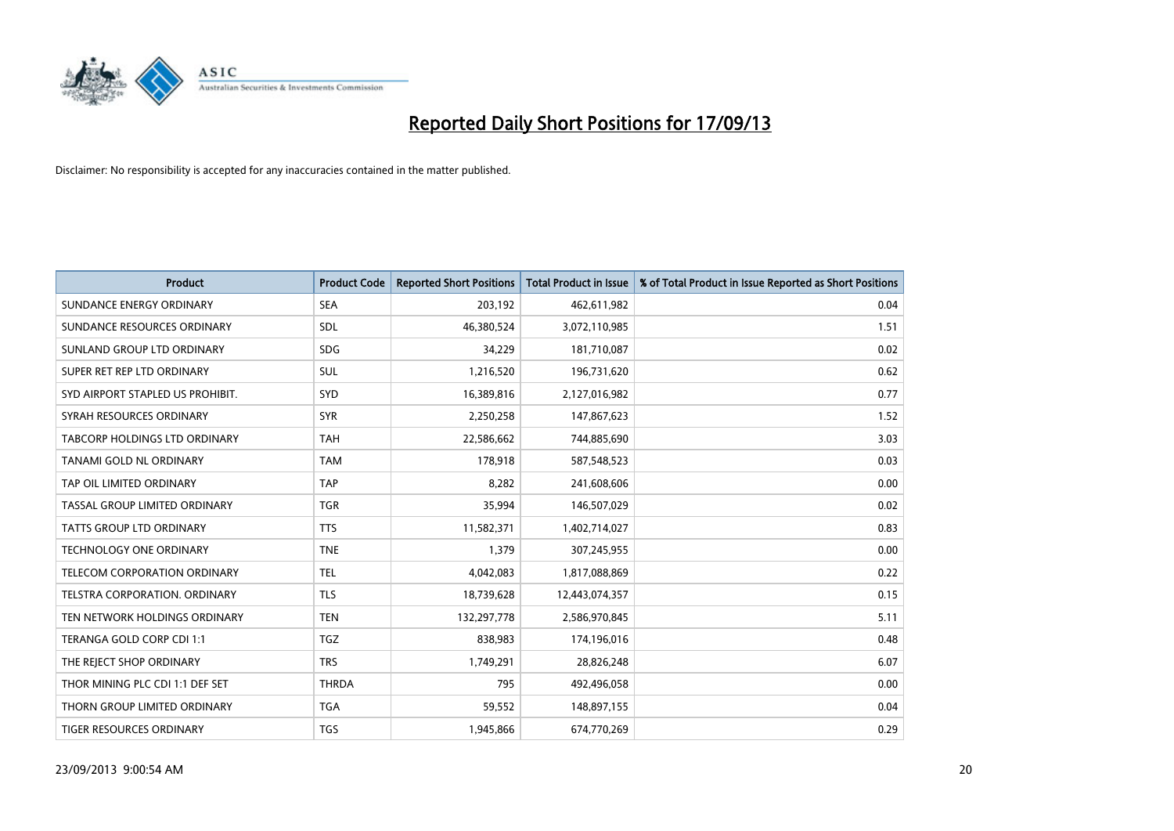

| <b>Product</b>                   | <b>Product Code</b> | <b>Reported Short Positions</b> | <b>Total Product in Issue</b> | % of Total Product in Issue Reported as Short Positions |
|----------------------------------|---------------------|---------------------------------|-------------------------------|---------------------------------------------------------|
| SUNDANCE ENERGY ORDINARY         | <b>SEA</b>          | 203,192                         | 462,611,982                   | 0.04                                                    |
| SUNDANCE RESOURCES ORDINARY      | <b>SDL</b>          | 46,380,524                      | 3,072,110,985                 | 1.51                                                    |
| SUNLAND GROUP LTD ORDINARY       | <b>SDG</b>          | 34,229                          | 181,710,087                   | 0.02                                                    |
| SUPER RET REP LTD ORDINARY       | <b>SUL</b>          | 1,216,520                       | 196,731,620                   | 0.62                                                    |
| SYD AIRPORT STAPLED US PROHIBIT. | SYD                 | 16,389,816                      | 2,127,016,982                 | 0.77                                                    |
| SYRAH RESOURCES ORDINARY         | <b>SYR</b>          | 2,250,258                       | 147,867,623                   | 1.52                                                    |
| TABCORP HOLDINGS LTD ORDINARY    | <b>TAH</b>          | 22,586,662                      | 744,885,690                   | 3.03                                                    |
| TANAMI GOLD NL ORDINARY          | <b>TAM</b>          | 178,918                         | 587,548,523                   | 0.03                                                    |
| TAP OIL LIMITED ORDINARY         | <b>TAP</b>          | 8,282                           | 241,608,606                   | 0.00                                                    |
| TASSAL GROUP LIMITED ORDINARY    | <b>TGR</b>          | 35,994                          | 146,507,029                   | 0.02                                                    |
| TATTS GROUP LTD ORDINARY         | <b>TTS</b>          | 11,582,371                      | 1,402,714,027                 | 0.83                                                    |
| <b>TECHNOLOGY ONE ORDINARY</b>   | <b>TNE</b>          | 1,379                           | 307,245,955                   | 0.00                                                    |
| TELECOM CORPORATION ORDINARY     | <b>TEL</b>          | 4,042,083                       | 1,817,088,869                 | 0.22                                                    |
| TELSTRA CORPORATION, ORDINARY    | <b>TLS</b>          | 18,739,628                      | 12,443,074,357                | 0.15                                                    |
| TEN NETWORK HOLDINGS ORDINARY    | <b>TEN</b>          | 132,297,778                     | 2,586,970,845                 | 5.11                                                    |
| TERANGA GOLD CORP CDI 1:1        | <b>TGZ</b>          | 838,983                         | 174,196,016                   | 0.48                                                    |
| THE REJECT SHOP ORDINARY         | <b>TRS</b>          | 1,749,291                       | 28,826,248                    | 6.07                                                    |
| THOR MINING PLC CDI 1:1 DEF SET  | <b>THRDA</b>        | 795                             | 492,496,058                   | 0.00                                                    |
| THORN GROUP LIMITED ORDINARY     | <b>TGA</b>          | 59,552                          | 148,897,155                   | 0.04                                                    |
| TIGER RESOURCES ORDINARY         | <b>TGS</b>          | 1,945,866                       | 674,770,269                   | 0.29                                                    |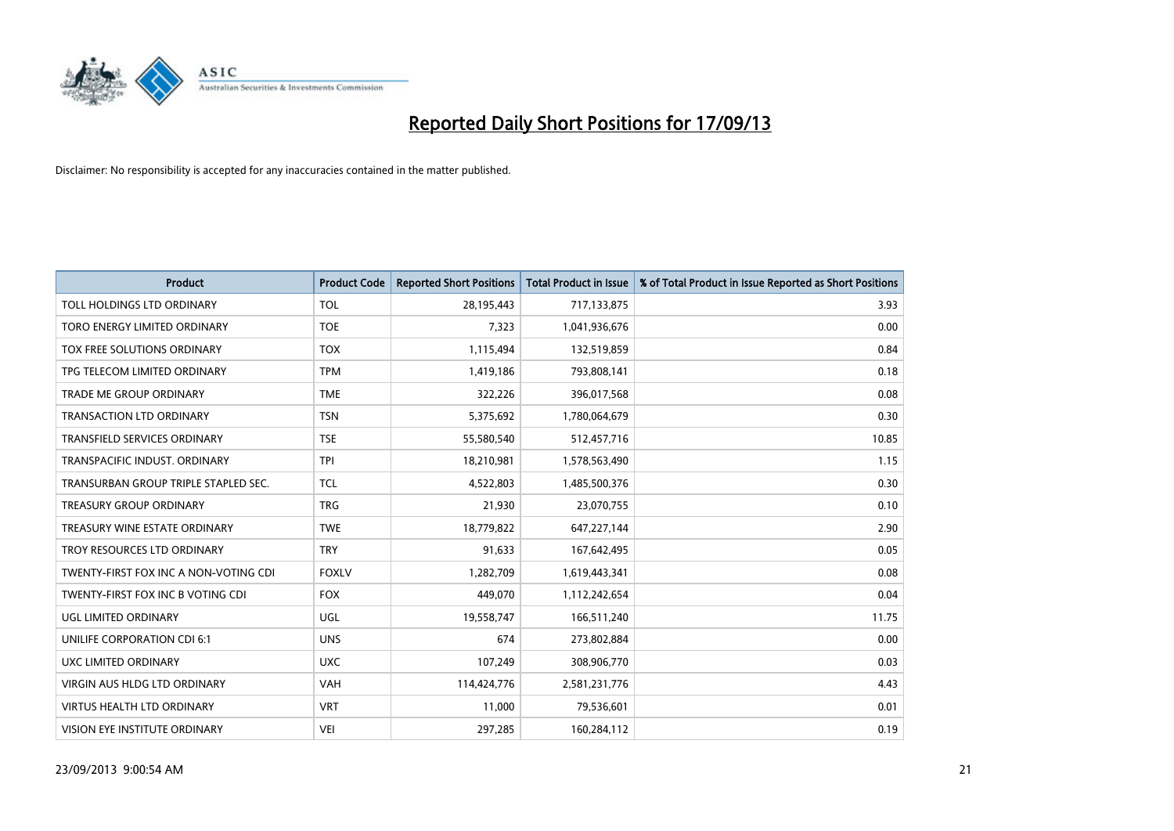

| <b>Product</b>                        | <b>Product Code</b> | <b>Reported Short Positions</b> | <b>Total Product in Issue</b> | % of Total Product in Issue Reported as Short Positions |
|---------------------------------------|---------------------|---------------------------------|-------------------------------|---------------------------------------------------------|
| <b>TOLL HOLDINGS LTD ORDINARY</b>     | <b>TOL</b>          | 28,195,443                      | 717,133,875                   | 3.93                                                    |
| TORO ENERGY LIMITED ORDINARY          | <b>TOE</b>          | 7,323                           | 1,041,936,676                 | 0.00                                                    |
| TOX FREE SOLUTIONS ORDINARY           | <b>TOX</b>          | 1,115,494                       | 132,519,859                   | 0.84                                                    |
| TPG TELECOM LIMITED ORDINARY          | <b>TPM</b>          | 1,419,186                       | 793,808,141                   | 0.18                                                    |
| <b>TRADE ME GROUP ORDINARY</b>        | <b>TME</b>          | 322,226                         | 396,017,568                   | 0.08                                                    |
| <b>TRANSACTION LTD ORDINARY</b>       | <b>TSN</b>          | 5,375,692                       | 1,780,064,679                 | 0.30                                                    |
| TRANSFIELD SERVICES ORDINARY          | <b>TSE</b>          | 55,580,540                      | 512,457,716                   | 10.85                                                   |
| TRANSPACIFIC INDUST. ORDINARY         | <b>TPI</b>          | 18,210,981                      | 1,578,563,490                 | 1.15                                                    |
| TRANSURBAN GROUP TRIPLE STAPLED SEC.  | <b>TCL</b>          | 4,522,803                       | 1,485,500,376                 | 0.30                                                    |
| <b>TREASURY GROUP ORDINARY</b>        | <b>TRG</b>          | 21,930                          | 23,070,755                    | 0.10                                                    |
| TREASURY WINE ESTATE ORDINARY         | <b>TWE</b>          | 18,779,822                      | 647,227,144                   | 2.90                                                    |
| TROY RESOURCES LTD ORDINARY           | <b>TRY</b>          | 91,633                          | 167,642,495                   | 0.05                                                    |
| TWENTY-FIRST FOX INC A NON-VOTING CDI | <b>FOXLV</b>        | 1,282,709                       | 1,619,443,341                 | 0.08                                                    |
| TWENTY-FIRST FOX INC B VOTING CDI     | <b>FOX</b>          | 449,070                         | 1,112,242,654                 | 0.04                                                    |
| UGL LIMITED ORDINARY                  | UGL                 | 19,558,747                      | 166,511,240                   | 11.75                                                   |
| UNILIFE CORPORATION CDI 6:1           | <b>UNS</b>          | 674                             | 273,802,884                   | 0.00                                                    |
| UXC LIMITED ORDINARY                  | <b>UXC</b>          | 107,249                         | 308,906,770                   | 0.03                                                    |
| <b>VIRGIN AUS HLDG LTD ORDINARY</b>   | <b>VAH</b>          | 114,424,776                     | 2,581,231,776                 | 4.43                                                    |
| <b>VIRTUS HEALTH LTD ORDINARY</b>     | <b>VRT</b>          | 11,000                          | 79,536,601                    | 0.01                                                    |
| VISION EYE INSTITUTE ORDINARY         | <b>VEI</b>          | 297,285                         | 160,284,112                   | 0.19                                                    |